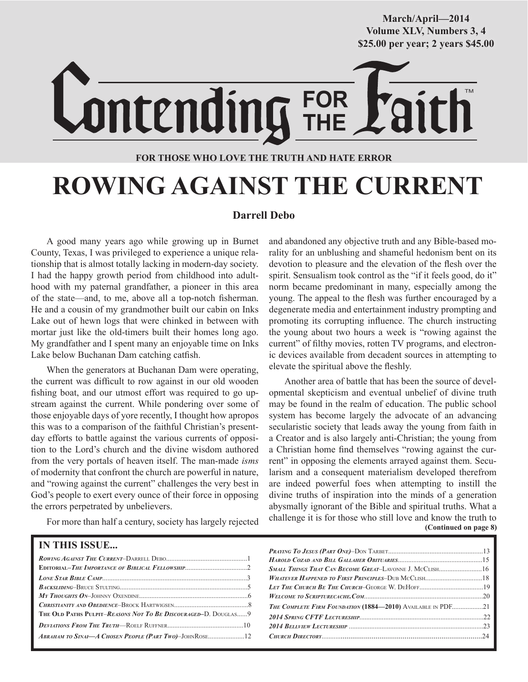**March/April—2014 Volume XLV, Numbers 3, 4 \$25.00 per year; 2 years \$45.00**

TM

**THE FOR THOSE WHO LOVE THE TRUTH AND HATE ERROR**

**FOR**

# **ROWING AGAINST THE CURRENT**

#### **Darrell Debo**

A good many years ago while growing up in Burnet County, Texas, I was privileged to experience a unique relationship that is almost totally lacking in modern-day society. I had the happy growth period from childhood into adulthood with my paternal grandfather, a pioneer in this area of the state—and, to me, above all a top-notch fisherman. He and a cousin of my grandmother built our cabin on Inks Lake out of hewn logs that were chinked in between with mortar just like the old-timers built their homes long ago. My grandfather and I spent many an enjoyable time on Inks Lake below Buchanan Dam catching catfish.

When the generators at Buchanan Dam were operating, the current was difficult to row against in our old wooden fishing boat, and our utmost effort was required to go upstream against the current. While pondering over some of those enjoyable days of yore recently, I thought how apropos this was to a comparison of the faithful Christian's presentday efforts to battle against the various currents of opposition to the Lord's church and the divine wisdom authored from the very portals of heaven itself. The man-made *isms* of modernity that confront the church are powerful in nature, and "rowing against the current" challenges the very best in God's people to exert every ounce of their force in opposing the errors perpetrated by unbelievers.

For more than half a century, society has largely rejected

and abandoned any objective truth and any Bible-based morality for an unblushing and shameful hedonism bent on its devotion to pleasure and the elevation of the flesh over the spirit. Sensualism took control as the "if it feels good, do it" norm became predominant in many, especially among the young. The appeal to the flesh was further encouraged by a degenerate media and entertainment industry prompting and promoting its corrupting influence. The church instructing the young about two hours a week is "rowing against the current" of filthy movies, rotten TV programs, and electronic devices available from decadent sources in attempting to elevate the spiritual above the fleshly.

**(Continued on page 8)** Another area of battle that has been the source of developmental skepticism and eventual unbelief of divine truth may be found in the realm of education. The public school system has become largely the advocate of an advancing secularistic society that leads away the young from faith in a Creator and is also largely anti-Christian; the young from a Christian home find themselves "rowing against the current" in opposing the elements arrayed against them. Secularism and a consequent materialism developed therefrom are indeed powerful foes when attempting to instill the divine truths of inspiration into the minds of a generation abysmally ignorant of the Bible and spiritual truths. What a challenge it is for those who still love and know the truth to

| <b>IN THIS ISSUE</b>                                           |                                                                    |
|----------------------------------------------------------------|--------------------------------------------------------------------|
|                                                                |                                                                    |
|                                                                |                                                                    |
|                                                                |                                                                    |
|                                                                |                                                                    |
|                                                                |                                                                    |
|                                                                | <b>THE COMPLETE FIRM FOUNDATION (1884—2010)</b> AVAILABLE IN PDF21 |
| THE OLD PATHS PULPIT-REASONS NOT TO BE DISCOURAGED-D. DOUGLAS9 |                                                                    |
|                                                                |                                                                    |
|                                                                |                                                                    |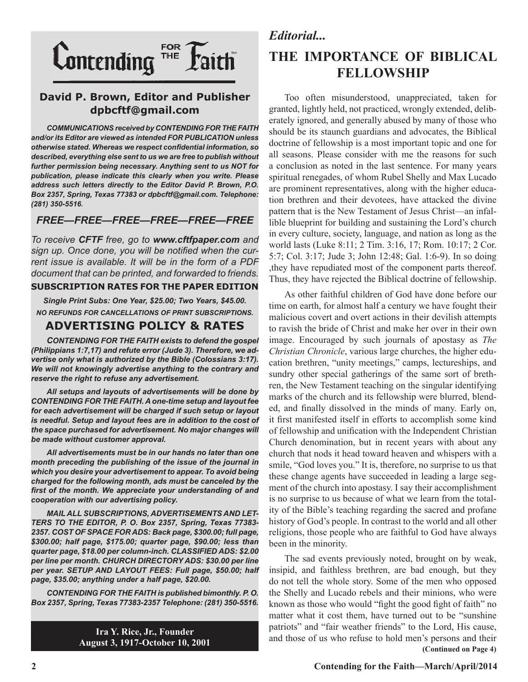

#### **David P. Brown, Editor and Publisher dpbcftf@gmail.com**

*COMMUNICATIONS received by CONTENDING FOR THE FAITH and/or its Editor are viewed as intended FOR PUBLICATION unless otherwise stated. Whereas we respect confidential information, so described, everything else sent to us we are free to publish without further permission being necessary. Anything sent to us NOT for publication, please indicate this clearly when you write. Please address such letters directly to the Editor David P. Brown, P.O. Box 2357, Spring, Texas 77383 or dpbcftf@gmail.com. Telephone: (281) 350-5516.*

#### *FREE—FREE—FREE—FREE—FREE—FREE*

*To receive CFTF free, go to www.cftfpaper.com and sign up. Once done, you will be notified when the current issue is available. It will be in the form of a PDF document that can be printed, and forwarded to friends.*

#### **SUBSCRIPTION RATES FOR THE PAPER EDITION**

*Single Print Subs: One Year, \$25.00; Two Years, \$45.00. NO REFUNDS FOR CANCELLATIONS OF PRINT SUBSCRIPTIONS.*

#### **ADVERTISING POLICY & RATES**

*CONTENDING FOR THE FAITH exists to defend the gospel (Philippians 1:7,17) and refute error (Jude 3). Therefore, we advertise only what is authorized by the Bible (Colossians 3:17). We will not knowingly advertise anything to the contrary and reserve the right to refuse any advertisement.*

*All setups and layouts of advertisements will be done by CONTENDING FOR THE FAITH. A one-time setup and layout fee for each advertisement will be charged if such setup or layout is needful. Setup and layout fees are in addition to the cost of the space purchased for advertisement. No major changes will be made without customer approval.*

*All advertisements must be in our hands no later than one month preceding the publishing of the issue of the journal in which you desire your advertisement to appear. To avoid being charged for the following month, ads must be canceled by the first of the month. We appreciate your understanding of and cooperation with our advertising policy.*

*MAIL ALL SUBSCRIPTIONS, ADVERTISEMENTS AND LET-TERS TO THE EDITOR, P. O. Box 2357, Spring, Texas 77383- 2357. COST OF SPACE FOR ADS: Back page, \$300.00; full page, \$300.00; half page, \$175.00; quarter page, \$90.00; less than quarter page, \$18.00 per column-inch. CLASSIFIED ADS: \$2.00 per line per month. CHURCH DIRECTORY ADS: \$30.00 per line per year. SETUP AND LAYOUT FEES: Full page, \$50.00; half page, \$35.00; anything under a half page, \$20.00.*

*CONTENDING FOR THE FAITH is published bimonthly. P. O. Box 2357, Spring, Texas 77383-2357 Telephone: (281) 350-5516.*

> **Ira Y. Rice, Jr., Founder August 3, 1917-October 10, 2001**

#### *Editorial...*

### **THE IMPORTANCE OF BIBLICAL FELLOWSHIP**

Too often misunderstood, unappreciated, taken for granted, lightly held, not practiced, wrongly extended, deliberately ignored, and generally abused by many of those who should be its staunch guardians and advocates, the Biblical doctrine of fellowship is a most important topic and one for all seasons. Please consider with me the reasons for such a conclusion as noted in the last sentence. For many years spiritual renegades, of whom Rubel Shelly and Max Lucado are prominent representatives, along with the higher education brethren and their devotees, have attacked the divine pattern that is the New Testament of Jesus Christ—an infallible blueprint for building and sustaining the Lord's church in every culture, society, language, and nation as long as the world lasts (Luke 8:11; 2 Tim. 3:16, 17; Rom. 10:17; 2 Cor. 5:7; Col. 3:17; Jude 3; John 12:48; Gal. 1:6-9). In so doing ,they have repudiated most of the component parts thereof. Thus, they have rejected the Biblical doctrine of fellowship.

As other faithful children of God have done before our time on earth, for almost half a century we have fought their malicious covert and overt actions in their devilish attempts to ravish the bride of Christ and make her over in their own image. Encouraged by such journals of apostasy as *The Christian Chronicle*, various large churches, the higher education brethren, "unity meetings," camps, lectureships, and sundry other special gatherings of the same sort of brethren, the New Testament teaching on the singular identifying marks of the church and its fellowship were blurred, blended, and finally dissolved in the minds of many. Early on, it first manifested itself in efforts to accomplish some kind of fellowship and unification with the Independent Christian Church denomination, but in recent years with about any church that nods it head toward heaven and whispers with a smile, "God loves you." It is, therefore, no surprise to us that these change agents have succeeded in leading a large segment of the church into apostasy. I say their accomplishment is no surprise to us because of what we learn from the totality of the Bible's teaching regarding the sacred and profane history of God's people. In contrast to the world and all other religions, those people who are faithful to God have always been in the minority.

The sad events previously noted, brought on by weak, insipid, and faithless brethren, are bad enough, but they do not tell the whole story. Some of the men who opposed the Shelly and Lucado rebels and their minions, who were known as those who would "fight the good fight of faith" no matter what it cost them, have turned out to be "sunshine patriots" and "fair weather friends" to the Lord, His cause, and those of us who refuse to hold men's persons and their **(Continued on Page 4)**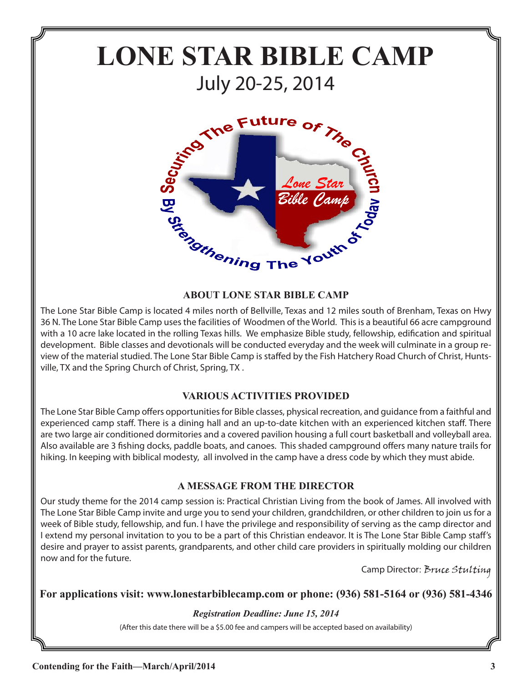# **LONE STAR BIBLE CAMP** July 20-25, 2014



#### **ABOUT LONE STAR BIBLE CAMP**

The Lone Star Bible Camp is located 4 miles north of Bellville, Texas and 12 miles south of Brenham, Texas on Hwy 36 N. The Lone Star Bible Camp uses the facilities of Woodmen of the World. This is a beautiful 66 acre campground with a 10 acre lake located in the rolling Texas hills. We emphasize Bible study, fellowship, edification and spiritual development. Bible classes and devotionals will be conducted everyday and the week will culminate in a group review of the material studied. The Lone Star Bible Camp is staffed by the Fish Hatchery Road Church of Christ, Huntsville, TX and the Spring Church of Christ, Spring, TX .

#### **VARIOUS ACTIVITIES PROVIDED**

The Lone Star Bible Camp offers opportunities for Bible classes, physical recreation, and guidance from a faithful and experienced camp staff. There is a dining hall and an up-to-date kitchen with an experienced kitchen staff. There are two large air conditioned dormitories and a covered pavilion housing a full court basketball and volleyball area. Also available are 3 fishing docks, paddle boats, and canoes. This shaded campground offers many nature trails for hiking. In keeping with biblical modesty, all involved in the camp have a dress code by which they must abide.

#### **A MESSAGE FROM THE DIRECTOR**

Our study theme for the 2014 camp session is: Practical Christian Living from the book of James. All involved with The Lone Star Bible Camp invite and urge you to send your children, grandchildren, or other children to join us for a week of Bible study, fellowship, and fun. I have the privilege and responsibility of serving as the camp director and I extend my personal invitation to you to be a part of this Christian endeavor. It is The Lone Star Bible Camp staff's desire and prayer to assist parents, grandparents, and other child care providers in spiritually molding our children now and for the future.

Camp Director: Bruce Stulting

#### **For applications visit: www.lonestarbiblecamp.com or phone: (936) 581-5164 or (936) 581-4346**

#### *Registration Deadline: June 15, 2014*

(After this date there will be a \$5.00 fee and campers will be accepted based on availability)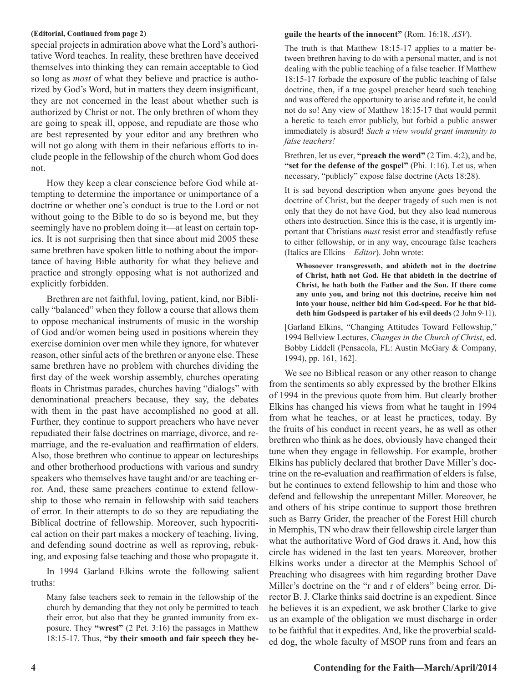#### **(Editorial, Continued from page 2)**

special projects in admiration above what the Lord's authoritative Word teaches. In reality, these brethren have deceived themselves into thinking they can remain acceptable to God so long as *most* of what they believe and practice is authorized by God's Word, but in matters they deem insignificant, they are not concerned in the least about whether such is authorized by Christ or not. The only brethren of whom they are going to speak ill, oppose, and repudiate are those who are best represented by your editor and any brethren who will not go along with them in their nefarious efforts to include people in the fellowship of the church whom God does not.

How they keep a clear conscience before God while attempting to determine the importance or unimportance of a doctrine or whether one's conduct is true to the Lord or not without going to the Bible to do so is beyond me, but they seemingly have no problem doing it—at least on certain topics. It is not surprising then that since about mid 2005 these same brethren have spoken little to nothing about the importance of having Bible authority for what they believe and practice and strongly opposing what is not authorized and explicitly forbidden.

Brethren are not faithful, loving, patient, kind, nor Biblically "balanced" when they follow a course that allows them to oppose mechanical instruments of music in the worship of God and/or women being used in positions wherein they exercise dominion over men while they ignore, for whatever reason, other sinful acts of the brethren or anyone else. These same brethren have no problem with churches dividing the first day of the week worship assembly, churches operating floats in Christmas parades, churches having "dialogs" with denominational preachers because, they say, the debates with them in the past have accomplished no good at all. Further, they continue to support preachers who have never repudiated their false doctrines on marriage, divorce, and remarriage, and the re-evaluation and reaffirmation of elders. Also, those brethren who continue to appear on lectureships and other brotherhood productions with various and sundry speakers who themselves have taught and/or are teaching error. And, these same preachers continue to extend fellowship to those who remain in fellowship with said teachers of error. In their attempts to do so they are repudiating the Biblical doctrine of fellowship. Moreover, such hypocritical action on their part makes a mockery of teaching, living, and defending sound doctrine as well as reproving, rebuking, and exposing false teaching and those who propagate it.

In 1994 Garland Elkins wrote the following salient truths:

Many false teachers seek to remain in the fellowship of the church by demanding that they not only be permitted to teach their error, but also that they be granted immunity from exposure. They **"wrest"** (2 Pet. 3:16) the passages in Matthew 18:15-17. Thus, **"by their smooth and fair speech they be-**

#### **guile the hearts of the innocent"** (Rom. 16:18, *ASV*).

The truth is that Matthew 18:15-17 applies to a matter between brethren having to do with a personal matter, and is not dealing with the public teaching of a false teacher. If Matthew 18:15-17 forbade the exposure of the public teaching of false doctrine, then, if a true gospel preacher heard such teaching and was offered the opportunity to arise and refute it, he could not do so! Any view of Matthew 18:15-17 that would permit a heretic to teach error publicly, but forbid a public answer immediately is absurd! *Such a view would grant immunity to false teachers!*

Brethren, let us ever, **"preach the word"** (2 Tim. 4:2), and be, **"set for the defense of the gospel"** (Phi. 1:16). Let us, when necessary, "publicly" expose false doctrine (Acts 18:28).

It is sad beyond description when anyone goes beyond the doctrine of Christ, but the deeper tragedy of such men is not only that they do not have God, but they also lead numerous others into destruction. Since this is the case, it is urgently important that Christians *must* resist error and steadfastly refuse to either fellowship, or in any way, encourage false teachers (Italics are Elkins—*Editor*). John wrote:

**Whosoever transgresseth, and abideth not in the doctrine of Christ, hath not God. He that abideth in the doctrine of Christ, he hath both the Father and the Son. If there come any unto you, and bring not this doctrine, receive him not into your house, neither bid him God-speed. For he that biddeth him Godspeed is partaker of his evil deeds** (2 John 9-11).

[Garland Elkins, "Changing Attitudes Toward Fellowship," 1994 Bellview Lectures, *Changes in the Church of Christ*, ed. Bobby Liddell (Pensacola, FL: Austin McGary & Company, 1994), pp. 161, 162].

We see no Biblical reason or any other reason to change from the sentiments so ably expressed by the brother Elkins of 1994 in the previous quote from him. But clearly brother Elkins has changed his views from what he taught in 1994 from what he teaches, or at least he practices, today. By the fruits of his conduct in recent years, he as well as other brethren who think as he does, obviously have changed their tune when they engage in fellowship. For example, brother Elkins has publicly declared that brother Dave Miller's doctrine on the re-evaluation and reaffirmation of elders is false, but he continues to extend fellowship to him and those who defend and fellowship the unrepentant Miller. Moreover, he and others of his stripe continue to support those brethren such as Barry Grider, the preacher of the Forest Hill church in Memphis, TN who draw their fellowship circle larger than what the authoritative Word of God draws it. And, how this circle has widened in the last ten years. Moreover, brother Elkins works under a director at the Memphis School of Preaching who disagrees with him regarding brother Dave Miller's doctrine on the "r and r of elders" being error. Director B. J. Clarke thinks said doctrine is an expedient. Since he believes it is an expedient, we ask brother Clarke to give us an example of the obligation we must discharge in order to be faithful that it expedites. And, like the proverbial scalded dog, the whole faculty of MSOP runs from and fears an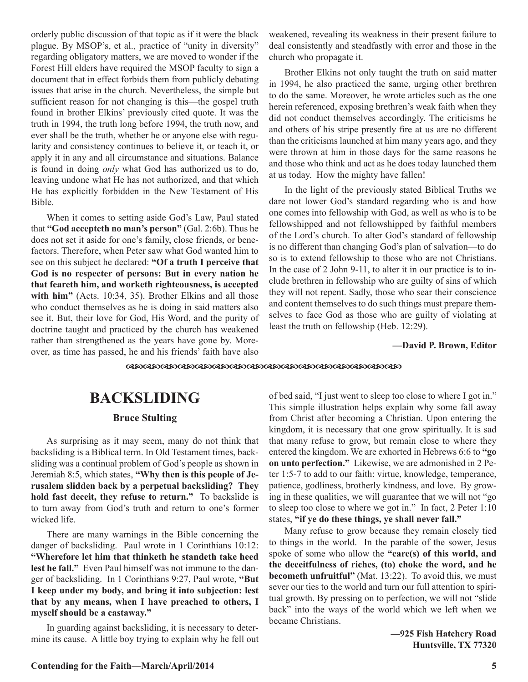orderly public discussion of that topic as if it were the black plague. By MSOP's, et al., practice of "unity in diversity" regarding obligatory matters, we are moved to wonder if the Forest Hill elders have required the MSOP faculty to sign a document that in effect forbids them from publicly debating issues that arise in the church. Nevertheless, the simple but sufficient reason for not changing is this—the gospel truth found in brother Elkins' previously cited quote. It was the truth in 1994, the truth long before 1994, the truth now, and ever shall be the truth, whether he or anyone else with regularity and consistency continues to believe it, or teach it, or apply it in any and all circumstance and situations. Balance is found in doing *only* what God has authorized us to do, leaving undone what He has not authorized, and that which He has explicitly forbidden in the New Testament of His Bible.

When it comes to setting aside God's Law, Paul stated that **"God accepteth no man's person"** (Gal. 2:6b). Thus he does not set it aside for one's family, close friends, or benefactors. Therefore, when Peter saw what God wanted him to see on this subject he declared: **"Of a truth I perceive that God is no respecter of persons: But in every nation he that feareth him, and worketh righteousness, is accepted**  with him" (Acts. 10:34, 35). Brother Elkins and all those who conduct themselves as he is doing in said matters also see it. But, their love for God, His Word, and the purity of doctrine taught and practiced by the church has weakened rather than strengthened as the years have gone by. Moreover, as time has passed, he and his friends' faith have also

weakened, revealing its weakness in their present failure to deal consistently and steadfastly with error and those in the church who propagate it.

Brother Elkins not only taught the truth on said matter in 1994, he also practiced the same, urging other brethren to do the same. Moreover, he wrote articles such as the one herein referenced, exposing brethren's weak faith when they did not conduct themselves accordingly. The criticisms he and others of his stripe presently fire at us are no different than the criticisms launched at him many years ago, and they were thrown at him in those days for the same reasons he and those who think and act as he does today launched them at us today. How the mighty have fallen!

In the light of the previously stated Biblical Truths we dare not lower God's standard regarding who is and how one comes into fellowship with God, as well as who is to be fellowshipped and not fellowshipped by faithful members of the Lord's church. To alter God's standard of fellowship is no different than changing God's plan of salvation—to do so is to extend fellowship to those who are not Christians. In the case of 2 John 9-11, to alter it in our practice is to include brethren in fellowship who are guilty of sins of which they will not repent. Sadly, those who sear their conscience and content themselves to do such things must prepare themselves to face God as those who are guilty of violating at least the truth on fellowship (Heb. 12:29).

#### **—David P. Brown, Editor**

dcdcdcdcdcdcdcdcdcdcdcdcdcdcdcdc

## **BACKSLIDING**

#### **Bruce Stulting**

As surprising as it may seem, many do not think that backsliding is a Biblical term. In Old Testament times, backsliding was a continual problem of God's people as shown in Jeremiah 8:5, which states, **"Why then is this people of Jerusalem slidden back by a perpetual backsliding? They hold fast deceit, they refuse to return."** To backslide is to turn away from God's truth and return to one's former wicked life.

There are many warnings in the Bible concerning the danger of backsliding. Paul wrote in 1 Corinthians 10:12: **"Wherefore let him that thinketh he standeth take heed lest he fall."** Even Paul himself was not immune to the danger of backsliding. In 1 Corinthians 9:27, Paul wrote, **"But I keep under my body, and bring it into subjection: lest that by any means, when I have preached to others, I myself should be a castaway."**

In guarding against backsliding, it is necessary to determine its cause. A little boy trying to explain why he fell out of bed said, "I just went to sleep too close to where I got in." This simple illustration helps explain why some fall away from Christ after becoming a Christian. Upon entering the kingdom, it is necessary that one grow spiritually. It is sad that many refuse to grow, but remain close to where they entered the kingdom. We are exhorted in Hebrews 6:6 to **"go on unto perfection."** Likewise, we are admonished in 2 Peter 1:5-7 to add to our faith: virtue, knowledge, temperance, patience, godliness, brotherly kindness, and love. By growing in these qualities, we will guarantee that we will not "go to sleep too close to where we got in." In fact, 2 Peter 1:10 states, **"if ye do these things, ye shall never fall."**

Many refuse to grow because they remain closely tied to things in the world. In the parable of the sower, Jesus spoke of some who allow the **"care(s) of this world, and the deceitfulness of riches, (to) choke the word, and he becometh unfruitful"** (Mat. 13:22). To avoid this, we must sever our ties to the world and turn our full attention to spiritual growth. By pressing on to perfection, we will not "slide back" into the ways of the world which we left when we became Christians.

> **—925 Fish Hatchery Road Huntsville, TX 77320**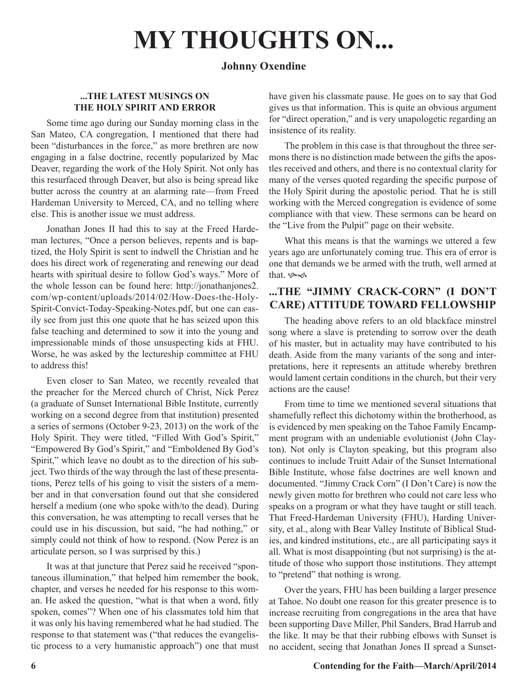# **MY THOUGHTS ON...**

#### **Johnny Oxendine**

#### **...THE LATEST MUSINGS ON THE HOLY SPIRIT AND ERROR**

Some time ago during our Sunday morning class in the San Mateo, CA congregation, I mentioned that there had been "disturbances in the force," as more brethren are now engaging in a false doctrine, recently popularized by Mac Deaver, regarding the work of the Holy Spirit. Not only has this resurfaced through Deaver, but also is being spread like butter across the country at an alarming rate—from Freed Hardeman University to Merced, CA, and no telling where else. This is another issue we must address.

Jonathan Jones II had this to say at the Freed Hardeman lectures, "Once a person believes, repents and is baptized, the Holy Spirit is sent to indwell the Christian and he does his direct work of regenerating and renewing our dead hearts with spiritual desire to follow God's ways." More of the whole lesson can be found here: http://jonathanjones2. com/wp-content/uploads/2014/02/How-Does-the-Holy-Spirit-Convict-Today-Speaking-Notes.pdf, but one can easily see from just this one quote that he has seized upon this false teaching and determined to sow it into the young and impressionable minds of those unsuspecting kids at FHU. Worse, he was asked by the lectureship committee at FHU to address this!

Even closer to San Mateo, we recently revealed that the preacher for the Merced church of Christ, Nick Perez (a graduate of Sunset International Bible Institute, currently working on a second degree from that institution) presented a series of sermons (October 9-23, 2013) on the work of the Holy Spirit. They were titled, "Filled With God's Spirit," "Empowered By God's Spirit," and "Emboldened By God's Spirit," which leave no doubt as to the direction of his subject. Two thirds of the way through the last of these presentations, Perez tells of his going to visit the sisters of a member and in that conversation found out that she considered herself a medium (one who spoke with/to the dead). During this conversation, he was attempting to recall verses that he could use in his discussion, but said, "he had nothing," or simply could not think of how to respond. (Now Perez is an articulate person, so I was surprised by this.)

It was at that juncture that Perez said he received "spontaneous illumination," that helped him remember the book, chapter, and verses he needed for his response to this woman. He asked the question, "what is that when a word, fitly spoken, comes"? When one of his classmates told him that it was only his having remembered what he had studied. The response to that statement was ("that reduces the evangelistic process to a very humanistic approach") one that must have given his classmate pause. He goes on to say that God gives us that information. This is quite an obvious argument for "direct operation," and is very unapologetic regarding an insistence of its reality.

The problem in this case is that throughout the three sermons there is no distinction made between the gifts the apostles received and others, and there is no contextual clarity for many of the verses quoted regarding the specific purpose of the Holy Spirit during the apostolic period. That he is still working with the Merced congregation is evidence of some compliance with that view. These sermons can be heard on the "Live from the Pulpit" page on their website.

What this means is that the warnings we uttered a few years ago are unfortunately coming true. This era of error is one that demands we be armed with the truth, well armed at that.  $\infty$ 

#### **...THE "JIMMY CRACK-CORN" (I DON'T CARE) ATTITUDE TOWARD FELLOWSHIP**

The heading above refers to an old blackface minstrel song where a slave is pretending to sorrow over the death of his master, but in actuality may have contributed to his death. Aside from the many variants of the song and interpretations, here it represents an attitude whereby brethren would lament certain conditions in the church, but their very actions are the cause!

From time to time we mentioned several situations that shamefully reflect this dichotomy within the brotherhood, as is evidenced by men speaking on the Tahoe Family Encampment program with an undeniable evolutionist (John Clayton). Not only is Clayton speaking, but this program also continues to include Truitt Adair of the Sunset International Bible Institute, whose false doctrines are well known and documented. "Jimmy Crack Corn" (I Don't Care) is now the newly given motto for brethren who could not care less who speaks on a program or what they have taught or still teach. That Freed-Hardeman University (FHU), Harding University, et al., along with Bear Valley Institute of Biblical Studies, and kindred institutions, etc., are all participating says it all. What is most disappointing (but not surprising) is the attitude of those who support those institutions. They attempt to "pretend" that nothing is wrong.

Over the years, FHU has been building a larger presence at Tahoe. No doubt one reason for this greater presence is to increase recruiting from congregations in the area that have been supporting Dave Miller, Phil Sanders, Brad Harrub and the like. It may be that their rubbing elbows with Sunset is no accident, seeing that Jonathan Jones II spread a Sunset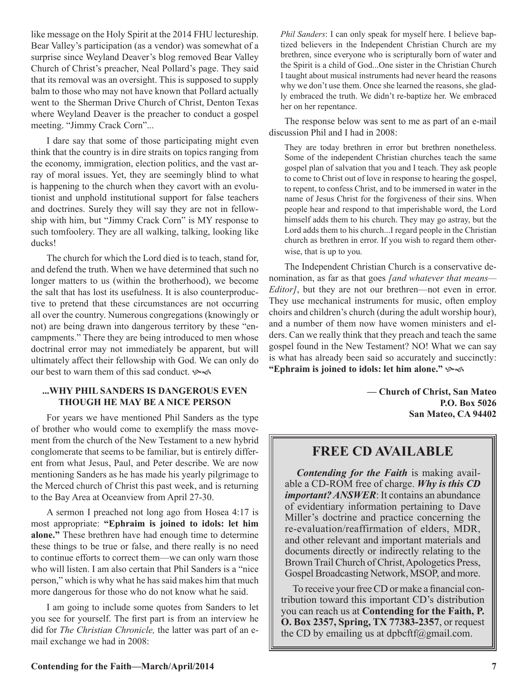like message on the Holy Spirit at the 2014 FHU lectureship. Bear Valley's participation (as a vendor) was somewhat of a surprise since Weyland Deaver's blog removed Bear Valley Church of Christ's preacher, Neal Pollard's page. They said that its removal was an oversight. This is supposed to supply balm to those who may not have known that Pollard actually went to the Sherman Drive Church of Christ, Denton Texas where Weyland Deaver is the preacher to conduct a gospel meeting. "Jimmy Crack Corn"...

I dare say that some of those participating might even think that the country is in dire straits on topics ranging from the economy, immigration, election politics, and the vast array of moral issues. Yet, they are seemingly blind to what is happening to the church when they cavort with an evolutionist and unphold institutional support for false teachers and doctrines. Surely they will say they are not in fellowship with him, but "Jimmy Crack Corn" is MY response to such tomfoolery. They are all walking, talking, looking like ducks!

The church for which the Lord died is to teach, stand for, and defend the truth. When we have determined that such no longer matters to us (within the brotherhood), we become the salt that has lost its usefulness. It is also counterproductive to pretend that these circumstances are not occurring all over the country. Numerous congregations (knowingly or not) are being drawn into dangerous territory by these "encampments." There they are being introduced to men whose doctrinal error may not immediately be apparent, but will ultimately affect their fellowship with God. We can only do our best to warn them of this sad conduct.  $\sim$ 

#### **...WHY PHIL SANDERS IS DANGEROUS EVEN THOUGH HE MAY BE A NICE PERSON**

For years we have mentioned Phil Sanders as the type of brother who would come to exemplify the mass movement from the church of the New Testament to a new hybrid conglomerate that seems to be familiar, but is entirely different from what Jesus, Paul, and Peter describe. We are now mentioning Sanders as he has made his yearly pilgrimage to the Merced church of Christ this past week, and is returning to the Bay Area at Oceanview from April 27-30.

A sermon I preached not long ago from Hosea 4:17 is most appropriate: **"Ephraim is joined to idols: let him alone."** These brethren have had enough time to determine these things to be true or false, and there really is no need to continue efforts to correct them—we can only warn those who will listen. I am also certain that Phil Sanders is a "nice person," which is why what he has said makes him that much more dangerous for those who do not know what he said.

I am going to include some quotes from Sanders to let you see for yourself. The first part is from an interview he did for *The Christian Chronicle,* the latter was part of an email exchange we had in 2008:

*Phil Sanders*: I can only speak for myself here. I believe baptized believers in the Independent Christian Church are my brethren, since everyone who is scripturally born of water and the Spirit is a child of God...One sister in the Christian Church I taught about musical instruments had never heard the reasons why we don't use them. Once she learned the reasons, she gladly embraced the truth. We didn't re-baptize her. We embraced her on her repentance.

The response below was sent to me as part of an e-mail discussion Phil and I had in 2008:

They are today brethren in error but brethren nonetheless. Some of the independent Christian churches teach the same gospel plan of salvation that you and I teach. They ask people to come to Christ out of love in response to hearing the gospel, to repent, to confess Christ, and to be immersed in water in the name of Jesus Christ for the forgiveness of their sins. When people hear and respond to that imperishable word, the Lord himself adds them to his church. They may go astray, but the Lord adds them to his church...I regard people in the Christian church as brethren in error. If you wish to regard them otherwise, that is up to you.

The Independent Christian Church is a conservative denomination, as far as that goes *[and whatever that means— Editor]*, but they are not our brethren—not even in error. They use mechanical instruments for music, often employ choirs and children's church (during the adult worship hour), and a number of them now have women ministers and elders. Can we really think that they preach and teach the same gospel found in the New Testament? NO! What we can say is what has already been said so accurately and succinctly: **"Ephraim is joined to idols: let him alone."** hf

> **— Church of Christ, San Mateo P.O. Box 5026 San Mateo, CA 94402**

#### **FREE CD AVAILABLE**

*Contending for the Faith* is making available a CD-ROM free of charge. *Why is this CD important? ANSWER*: It contains an abundance of evidentiary information pertaining to Dave Miller's doctrine and practice concerning the re-evaluation/reaffirmation of elders, MDR, and other relevant and important materials and documents directly or indirectly relating to the Brown Trail Church of Christ, Apologetics Press, Gospel Broadcasting Network, MSOP, and more.

To receive your free CD or make a financial contribution toward this important CD's distribution you can reach us at **Contending for the Faith, P. O. Box 2357, Spring, TX 77383-2357**, or request the CD by emailing us at dpbcftf@gmail.com.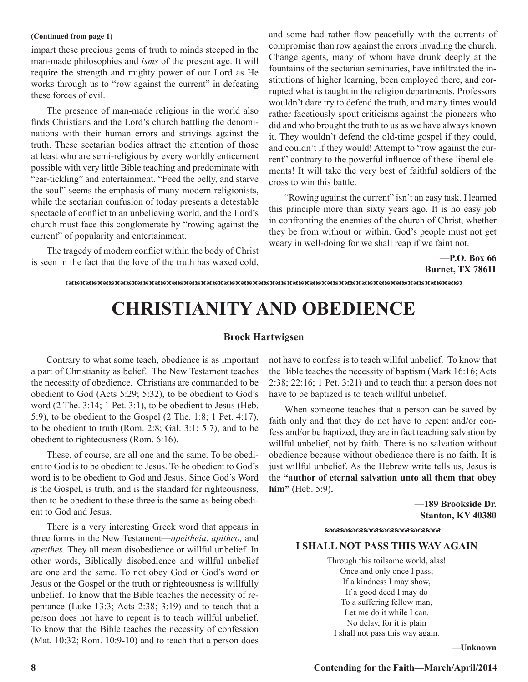#### **(Continued from page 1)**

impart these precious gems of truth to minds steeped in the man-made philosophies and *isms* of the present age. It will require the strength and mighty power of our Lord as He works through us to "row against the current" in defeating these forces of evil.

The presence of man-made religions in the world also finds Christians and the Lord's church battling the denominations with their human errors and strivings against the truth. These sectarian bodies attract the attention of those at least who are semi-religious by every worldly enticement possible with very little Bible teaching and predominate with "ear-tickling" and entertainment. "Feed the belly, and starve the soul" seems the emphasis of many modern religionists, while the sectarian confusion of today presents a detestable spectacle of conflict to an unbelieving world, and the Lord's church must face this conglomerate by "rowing against the current" of popularity and entertainment.

The tragedy of modern conflict within the body of Christ is seen in the fact that the love of the truth has waxed cold, and some had rather flow peacefully with the currents of compromise than row against the errors invading the church. Change agents, many of whom have drunk deeply at the fountains of the sectarian seminaries, have infiltrated the institutions of higher learning, been employed there, and corrupted what is taught in the religion departments. Professors wouldn't dare try to defend the truth, and many times would rather facetiously spout criticisms against the pioneers who did and who brought the truth to us as we have always known it. They wouldn't defend the old-time gospel if they could, and couldn't if they would! Attempt to "row against the current" contrary to the powerful influence of these liberal elements! It will take the very best of faithful soldiers of the cross to win this battle.

"Rowing against the current" isn't an easy task. I learned this principle more than sixty years ago. It is no easy job in confronting the enemies of the church of Christ, whether they be from without or within. God's people must not get weary in well-doing for we shall reap if we faint not.

> **—P.O. Box 66 Burnet, TX 78611**

#### dcdcdcdcdcdcdcdcdcdcdcdcdcdcdcdcdcdcdcdcdcdcdc

## **CHRISTIANITY AND OBEDIENCE**

#### **Brock Hartwigsen**

Contrary to what some teach, obedience is as important a part of Christianity as belief. The New Testament teaches the necessity of obedience. Christians are commanded to be obedient to God (Acts 5:29; 5:32), to be obedient to God's word (2 The. 3:14; 1 Pet. 3:1), to be obedient to Jesus (Heb. 5:9), to be obedient to the Gospel (2 The. 1:8; 1 Pet. 4:17), to be obedient to truth (Rom. 2:8; Gal. 3:1; 5:7), and to be obedient to righteousness (Rom. 6:16).

These, of course, are all one and the same. To be obedient to God is to be obedient to Jesus. To be obedient to God's word is to be obedient to God and Jesus. Since God's Word is the Gospel, is truth, and is the standard for righteousness, then to be obedient to these three is the same as being obedient to God and Jesus.

There is a very interesting Greek word that appears in three forms in the New Testament—*apeitheia*, *apitheo,* and *apeithes*. They all mean disobedience or willful unbelief. In other words, Biblically disobedience and willful unbelief are one and the same. To not obey God or God's word or Jesus or the Gospel or the truth or righteousness is willfully unbelief. To know that the Bible teaches the necessity of repentance (Luke 13:3; Acts 2:38; 3:19) and to teach that a person does not have to repent is to teach willful unbelief. To know that the Bible teaches the necessity of confession (Mat. 10:32; Rom. 10:9-10) and to teach that a person does

not have to confess is to teach willful unbelief. To know that the Bible teaches the necessity of baptism (Mark 16:16; Acts 2:38; 22:16; 1 Pet. 3:21) and to teach that a person does not have to be baptized is to teach willful unbelief.

When someone teaches that a person can be saved by faith only and that they do not have to repent and/or confess and/or be baptized, they are in fact teaching salvation by willful unbelief, not by faith. There is no salvation without obedience because without obedience there is no faith. It is just willful unbelief. As the Hebrew write tells us, Jesus is the **"author of eternal salvation unto all them that obey him"** (Heb. 5:9)**.**

> **—189 Brookside Dr. Stanton, KY 40380**

#### cdccdcdcdcdcdcd

#### **I SHALL NOT PASS THIS WAY AGAIN**

Through this toilsome world, alas! Once and only once I pass; If a kindness I may show, If a good deed I may do To a suffering fellow man, Let me do it while I can. No delay, for it is plain I shall not pass this way again.

**—Unknown**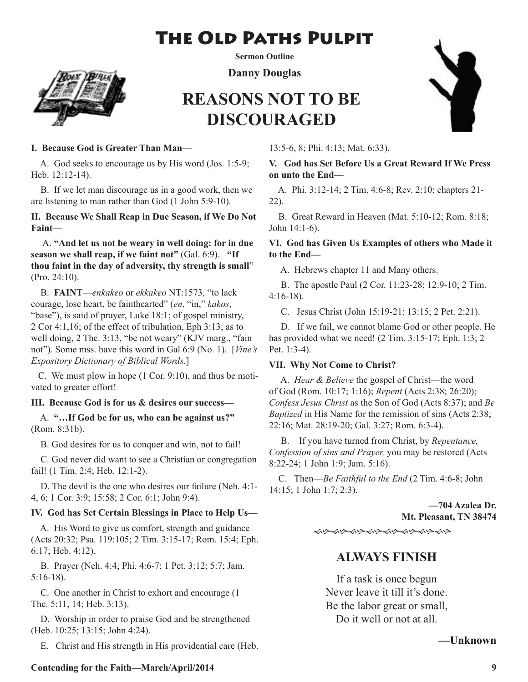## The Old Paths Pulpit



**Sermon Outline**

**Danny Douglas**

## **REASONS NOT TO BE DISCOURAGED**



#### **I. Because God is Greater Than Man—**

 A. God seeks to encourage us by His word (Jos. 1:5-9; Heb. 12:12-14).

 B. If we let man discourage us in a good work, then we are listening to man rather than God (1 John 5:9-10).

**II. Because We Shall Reap in Due Season, if We Do Not Faint—**

 A. **"And let us not be weary in well doing: for in due season we shall reap, if we faint not"** (Gal. 6:9). **"If thou faint in the day of adversity, thy strength is small**" (Pro. 24:10).

 B. **FAINT**—*enkakeo* or *ekkakeo* NT:1573, "to lack courage, lose heart, be fainthearted" (*en*, "in," *kakos*, "base"), is said of prayer, Luke 18:1; of gospel ministry, 2 Cor 4:1,16; of the effect of tribulation, Eph 3:13; as to well doing, 2 The. 3:13, "be not weary" (KJV marg., "fain not"). Some mss. have this word in Gal 6:9 (No. 1). [*Vine's Expository Dictionary of Biblical Words*.]

 C. We must plow in hope (1 Cor. 9:10), and thus be motivated to greater effort!

#### **III. Because God is for us & desires our success—**

 A. **"…If God be for us, who can be against us?"** (Rom. 8:31b).

B. God desires for us to conquer and win, not to fail!

 C. God never did want to see a Christian or congregation fail! (1 Tim. 2:4; Heb. 12:1-2).

 D. The devil is the one who desires our failure (Neh. 4:1- 4, 6; 1 Cor. 3:9; 15:58; 2 Cor. 6:1; John 9:4).

#### **IV. God has Set Certain Blessings in Place to Help Us—**

 A. His Word to give us comfort, strength and guidance (Acts 20:32; Psa. 119:105; 2 Tim. 3:15-17; Rom. 15:4; Eph. 6:17; Heb. 4:12).

 B. Prayer (Neh. 4:4; Phi. 4:6-7; 1 Pet. 3:12; 5:7; Jam. 5:16-18).

 C. One another in Christ to exhort and encourage (1 The. 5:11, 14; Heb. 3:13).

 D. Worship in order to praise God and be strengthened (Heb. 10:25; 13:15; John 4:24).

E. Christ and His strength in His providential care (Heb.

13:5-6, 8; Phi. 4:13; Mat. 6:33).

#### **V. God has Set Before Us a Great Reward If We Press on unto the End—**

 A. Phi. 3:12-14; 2 Tim. 4:6-8; Rev. 2:10; chapters 21- 22).

 B. Great Reward in Heaven (Mat. 5:10-12; Rom. 8:18; John 14:1-6).

#### **VI. God has Given Us Examples of others who Made it to the End—**

A. Hebrews chapter 11 and Many others.

 B. The apostle Paul (2 Cor. 11:23-28; 12:9-10; 2 Tim. 4:16-18).

C. Jesus Christ (John 15:19-21; 13:15; 2 Pet. 2:21).

 D. If we fail, we cannot blame God or other people. He has provided what we need! (2 Tim. 3:15-17; Eph. 1:3; 2 Pet. 1:3-4).

#### **VII. Why Not Come to Christ?**

 A. *Hear & Believe* the gospel of Christ—the word of God (Rom. 10:17; 1:16); *Repent* (Acts 2:38; 26:20); *Confess Jesus Christ* as the Son of God (Acts 8:37); and *Be Baptized* in His Name for the remission of sins (Acts 2:38; 22:16; Mat. 28:19-20; Gal. 3:27; Rom. 6:3-4).

 B. If you have turned from Christ, by *Repentance, Confession of sins and Prayer,* you may be restored (Acts 8:22-24; 1 John 1:9; Jam. 5:16).

 C. Then—*Be Faithful to the End* (2 Tim. 4:6-8; John 14:15; 1 John 1:7; 2:3).

> **—704 Azalea Dr. Mt. Pleasant, TN 38474**

֍֍֍֍֎֍֍֍֍֍֍֍֍֍֍

### **ALWAYS FINISH**

If a task is once begun Never leave it till it's done. Be the labor great or small, Do it well or not at all.

**—Unknown**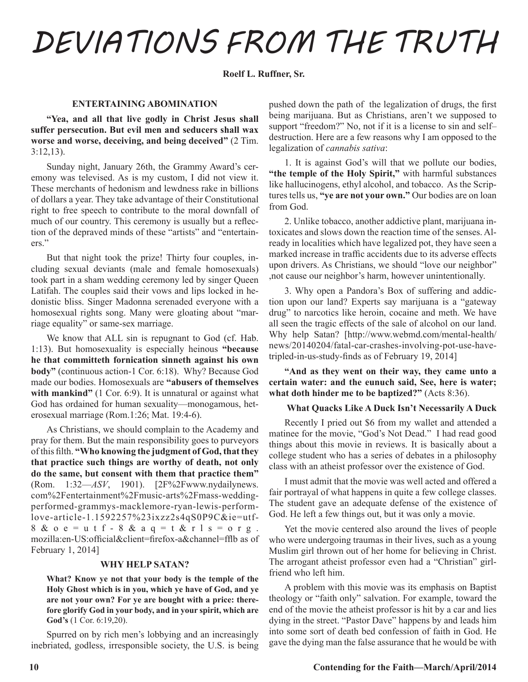# *DEVIATIONS FROM THE TRUTH*

**Roelf L. Ruffner, Sr.** 

#### **ENTERTAINING ABOMINATION**

**"Yea, and all that live godly in Christ Jesus shall suffer persecution. But evil men and seducers shall wax worse and worse, deceiving, and being deceived"** (2 Tim. 3:12,13).

Sunday night, January 26th, the Grammy Award's ceremony was televised. As is my custom, I did not view it. These merchants of hedonism and lewdness rake in billions of dollars a year. They take advantage of their Constitutional right to free speech to contribute to the moral downfall of much of our country. This ceremony is usually but a reflection of the depraved minds of these "artists" and "entertainers."

But that night took the prize! Thirty four couples, including sexual deviants (male and female homosexuals) took part in a sham wedding ceremony led by singer Queen Latifah. The couples said their vows and lips locked in hedonistic bliss. Singer Madonna serenaded everyone with a homosexual rights song. Many were gloating about "marriage equality" or same-sex marriage.

We know that ALL sin is repugnant to God (cf. Hab. 1:13). But homosexuality is especially heinous **"because he that committeth fornication sinneth against his own body"** (continuous action-1 Cor. 6:18). Why? Because God made our bodies. Homosexuals are **"abusers of themselves**  with mankind" (1 Cor. 6:9). It is unnatural or against what God has ordained for human sexuality—monogamous, heterosexual marriage (Rom.1:26; Mat. 19:4-6).

As Christians, we should complain to the Academy and pray for them. But the main responsibility goes to purveyors of this filth. **"Who knowing the judgment of God, that they that practice such things are worthy of death, not only do the same, but consent with them that practice them"**  (Rom. 1:32—*ASV*, 1901). [2F%2Fwww.nydailynews. com%2Fentertainment%2Fmusic-arts%2Fmass-weddingperformed-grammys-macklemore-ryan-lewis-performlove-article-1.1592257%23ixzz2s4qS0P9C&ie=utf-8 &  $o e = u t f - 8$  &  $a q = t$  &  $r l s = o r g$ . mozilla:en-US:official&client=firefox-a&channel=fflb as of February 1, 2014]

#### **WHY HELP SATAN?**

**What? Know ye not that your body is the temple of the Holy Ghost which is in you, which ye have of God, and ye are not your own? For ye are bought with a price: therefore glorify God in your body, and in your spirit, which are God's** (1 Cor. 6:19,20).

Spurred on by rich men's lobbying and an increasingly inebriated, godless, irresponsible society, the U.S. is being pushed down the path of the legalization of drugs, the first being marijuana. But as Christians, aren't we supposed to support "freedom?" No, not if it is a license to sin and selfdestruction. Here are a few reasons why I am opposed to the legalization of *cannabis sativa*:

1. It is against God's will that we pollute our bodies, **"the temple of the Holy Spirit,"** with harmful substances like hallucinogens, ethyl alcohol, and tobacco. As the Scriptures tells us, **"ye are not your own."** Our bodies are on loan from God.

2. Unlike tobacco, another addictive plant, marijuana intoxicates and slows down the reaction time of the senses. Already in localities which have legalized pot, they have seen a marked increase in traffic accidents due to its adverse effects upon drivers. As Christians, we should "love our neighbor" ,not cause our neighbor's harm, however unintentionally.

3. Why open a Pandora's Box of suffering and addiction upon our land? Experts say marijuana is a "gateway drug" to narcotics like heroin, cocaine and meth. We have all seen the tragic effects of the sale of alcohol on our land. Why help Satan? [http://www.webmd.com/mental-health/ news/20140204/fatal-car-crashes-involving-pot-use-havetripled-in-us-study-finds as of February 19, 2014]

**"And as they went on their way, they came unto a certain water: and the eunuch said, See, here is water; what doth hinder me to be baptized?"** (Acts 8:36).

#### **What Quacks Like A Duck Isn't Necessarily A Duck**

Recently I pried out \$6 from my wallet and attended a matinee for the movie, "God's Not Dead." I had read good things about this movie in reviews. It is basically about a college student who has a series of debates in a philosophy class with an atheist professor over the existence of God.

I must admit that the movie was well acted and offered a fair portrayal of what happens in quite a few college classes. The student gave an adequate defense of the existence of God. He left a few things out, but it was only a movie.

Yet the movie centered also around the lives of people who were undergoing traumas in their lives, such as a young Muslim girl thrown out of her home for believing in Christ. The arrogant atheist professor even had a "Christian" girlfriend who left him.

A problem with this movie was its emphasis on Baptist theology or "faith only" salvation. For example, toward the end of the movie the atheist professor is hit by a car and lies dying in the street. "Pastor Dave" happens by and leads him into some sort of death bed confession of faith in God. He gave the dying man the false assurance that he would be with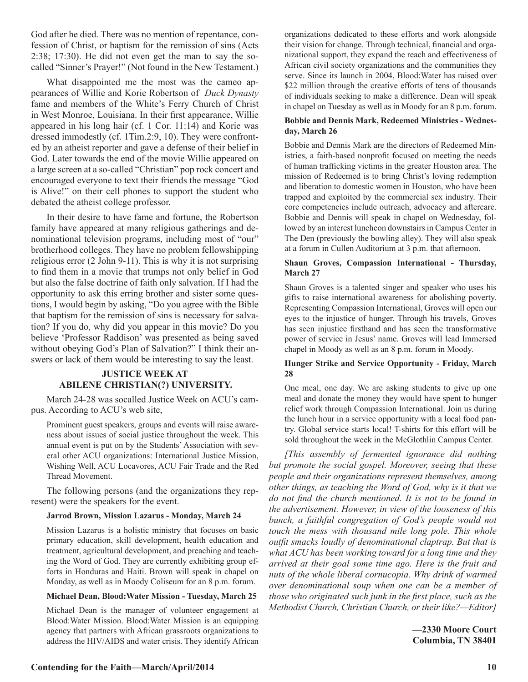God after he died. There was no mention of repentance, confession of Christ, or baptism for the remission of sins (Acts 2:38; 17:30). He did not even get the man to say the socalled "Sinner's Prayer!" (Not found in the New Testament.)

What disappointed me the most was the cameo appearances of Willie and Korie Robertson of *Duck Dynasty*  fame and members of the White's Ferry Church of Christ in West Monroe, Louisiana. In their first appearance, Willie appeared in his long hair (cf. 1 Cor. 11:14) and Korie was dressed immodestly (cf. 1Tim.2:9, 10). They were confronted by an atheist reporter and gave a defense of their belief in God. Later towards the end of the movie Willie appeared on a large screen at a so-called "Christian" pop rock concert and encouraged everyone to text their friends the message "God is Alive!" on their cell phones to support the student who debated the atheist college professor.

In their desire to have fame and fortune, the Robertson family have appeared at many religious gatherings and denominational television programs, including most of "our" brotherhood colleges. They have no problem fellowshipping religious error (2 John 9-11). This is why it is not surprising to find them in a movie that trumps not only belief in God but also the false doctrine of faith only salvation. If I had the opportunity to ask this erring brother and sister some questions, I would begin by asking, "Do you agree with the Bible that baptism for the remission of sins is necessary for salvation? If you do, why did you appear in this movie? Do you believe 'Professor Raddison' was presented as being saved without obeying God's Plan of Salvation?" I think their answers or lack of them would be interesting to say the least.

#### **JUSTICE WEEK AT ABILENE CHRISTIAN(?) UNIVERSITY.**

March 24-28 was socalled Justice Week on ACU's campus. According to ACU's web site,

Prominent guest speakers, groups and events will raise awareness about issues of social justice throughout the week. This annual event is put on by the Students' Association with several other ACU organizations: International Justice Mission, Wishing Well, ACU Locavores, ACU Fair Trade and the Red Thread Movement.

The following persons (and the organizations they represent) were the speakers for the event.

#### **Jarrod Brown, Mission Lazarus - Monday, March 24**

Mission Lazarus is a holistic ministry that focuses on basic primary education, skill development, health education and treatment, agricultural development, and preaching and teaching the Word of God. They are currently exhibiting group efforts in Honduras and Haiti. Brown will speak in chapel on Monday, as well as in Moody Coliseum for an 8 p.m. forum.

#### **Michael Dean, Blood:Water Mission - Tuesday, March 25**

Michael Dean is the manager of volunteer engagement at Blood:Water Mission. Blood:Water Mission is an equipping agency that partners with African grassroots organizations to address the HIV/AIDS and water crisis. They identify African organizations dedicated to these efforts and work alongside their vision for change. Through technical, financial and organizational support, they expand the reach and effectiveness of African civil society organizations and the communities they serve. Since its launch in 2004, Blood:Water has raised over \$22 million through the creative efforts of tens of thousands of individuals seeking to make a difference. Dean will speak in chapel on Tuesday as well as in Moody for an 8 p.m. forum.

#### **Bobbie and Dennis Mark, Redeemed Ministries - Wednesday, March 26**

Bobbie and Dennis Mark are the directors of Redeemed Ministries, a faith-based nonprofit focused on meeting the needs of human trafficking victims in the greater Houston area. The mission of Redeemed is to bring Christ's loving redemption and liberation to domestic women in Houston, who have been trapped and exploited by the commercial sex industry. Their core competencies include outreach, advocacy and aftercare. Bobbie and Dennis will speak in chapel on Wednesday, followed by an interest luncheon downstairs in Campus Center in The Den (previously the bowling alley). They will also speak at a forum in Cullen Auditorium at 3 p.m. that afternoon.

#### **Shaun Groves, Compassion International - Thursday, March 27**

Shaun Groves is a talented singer and speaker who uses his gifts to raise international awareness for abolishing poverty. Representing Compassion International, Groves will open our eyes to the injustice of hunger. Through his travels, Groves has seen injustice firsthand and has seen the transformative power of service in Jesus' name. Groves will lead Immersed chapel in Moody as well as an 8 p.m. forum in Moody.

#### **Hunger Strike and Service Opportunity - Friday, March 28**

One meal, one day. We are asking students to give up one meal and donate the money they would have spent to hunger relief work through Compassion International. Join us during the lunch hour in a service opportunity with a local food pantry. Global service starts local! T-shirts for this effort will be sold throughout the week in the McGlothlin Campus Center.

*[This assembly of fermented ignorance did nothing but promote the social gospel. Moreover, seeing that these people and their organizations represent themselves, among other things, as teaching the Word of God, why is it that we do not find the church mentioned. It is not to be found in the advertisement. However, in view of the looseness of this bunch, a faithful congregation of God's people would not touch the mess with thousand mile long pole. This whole outfit smacks loudly of denominational claptrap. But that is what ACU has been working toward for a long time and they arrived at their goal some time ago. Here is the fruit and nuts of the whole liberal cornucopia. Why drink of warmed over denominational soup when one can be a member of those who originated such junk in the first place, such as the Methodist Church, Christian Church, or their like?—Editor]* 

> **—2330 Moore Court Columbia, TN 38401**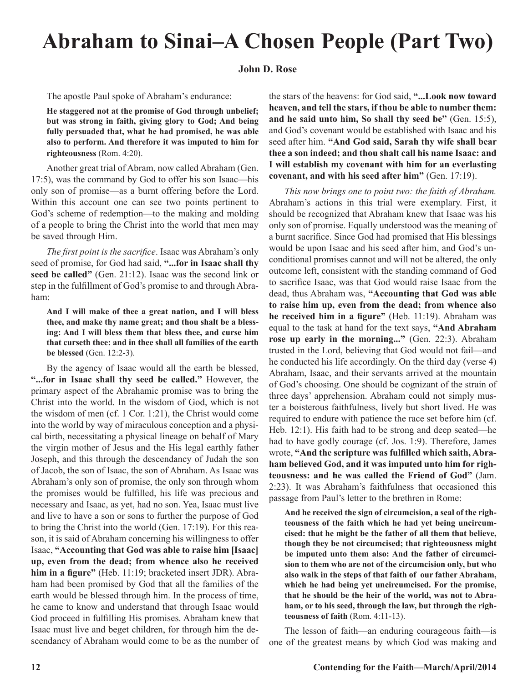## **Abraham to Sinai–A Chosen People (Part Two)**

#### **John D. Rose**

The apostle Paul spoke of Abraham's endurance:

**He staggered not at the promise of God through unbelief; but was strong in faith, giving glory to God; And being fully persuaded that, what he had promised, he was able also to perform. And therefore it was imputed to him for righteousness** (Rom. 4:20).

Another great trial of Abram, now called Abraham (Gen. 17:5), was the command by God to offer his son Isaac—his only son of promise—as a burnt offering before the Lord. Within this account one can see two points pertinent to God's scheme of redemption—to the making and molding of a people to bring the Christ into the world that men may be saved through Him.

*The first point is the sacrifice*. Isaac was Abraham's only seed of promise, for God had said, **"...for in Isaac shall thy seed be called"** (Gen. 21:12). Isaac was the second link or step in the fulfillment of God's promise to and through Abraham:

**And I will make of thee a great nation, and I will bless thee, and make thy name great; and thou shalt be a blessing: And I will bless them that bless thee, and curse him that curseth thee: and in thee shall all families of the earth be blessed** (Gen. 12:2-3).

By the agency of Isaac would all the earth be blessed, **"...for in Isaac shall thy seed be called."** However, the primary aspect of the Abrahamic promise was to bring the Christ into the world. In the wisdom of God, which is not the wisdom of men (cf. 1 Cor. 1:21), the Christ would come into the world by way of miraculous conception and a physical birth, necessitating a physical lineage on behalf of Mary the virgin mother of Jesus and the His legal earthly father Joseph, and this through the descendancy of Judah the son of Jacob, the son of Isaac, the son of Abraham. As Isaac was Abraham's only son of promise, the only son through whom the promises would be fulfilled, his life was precious and necessary and Isaac, as yet, had no son. Yea, Isaac must live and live to have a son or sons to further the purpose of God to bring the Christ into the world (Gen. 17:19). For this reason, it is said of Abraham concerning his willingness to offer Isaac, **"Accounting that God was able to raise him [Isaac] up, even from the dead; from whence also he received him in a figure"** (Heb. 11:19; bracketed insert JDR). Abraham had been promised by God that all the families of the earth would be blessed through him. In the process of time, he came to know and understand that through Isaac would God proceed in fulfilling His promises. Abraham knew that Isaac must live and beget children, for through him the descendancy of Abraham would come to be as the number of the stars of the heavens: for God said, **"...Look now toward heaven, and tell the stars, if thou be able to number them: and he said unto him, So shall thy seed be"** (Gen. 15:5), and God's covenant would be established with Isaac and his seed after him. **"And God said, Sarah thy wife shall bear thee a son indeed; and thou shalt call his name Isaac: and I will establish my covenant with him for an everlasting covenant, and with his seed after him"** (Gen. 17:19).

*This now brings one to point two: the faith of Abraham.*  Abraham's actions in this trial were exemplary. First, it should be recognized that Abraham knew that Isaac was his only son of promise. Equally understood was the meaning of a burnt sacrifice. Since God had promised that His blessings would be upon Isaac and his seed after him, and God's unconditional promises cannot and will not be altered, the only outcome left, consistent with the standing command of God to sacrifice Isaac, was that God would raise Isaac from the dead, thus Abraham was, **"Accounting that God was able to raise him up, even from the dead; from whence also he received him in a figure"** (Heb. 11:19). Abraham was equal to the task at hand for the text says, **"And Abraham rose up early in the morning..."** (Gen. 22:3). Abraham trusted in the Lord, believing that God would not fail—and he conducted his life accordingly. On the third day (verse 4) Abraham, Isaac, and their servants arrived at the mountain of God's choosing. One should be cognizant of the strain of three days' apprehension. Abraham could not simply muster a boisterous faithfulness, lively but short lived. He was required to endure with patience the race set before him (cf. Heb. 12:1). His faith had to be strong and deep seated—he had to have godly courage (cf. Jos. 1:9). Therefore, James wrote, **"And the scripture was fulfilled which saith, Abraham believed God, and it was imputed unto him for righteousness: and he was called the Friend of God"** (Jam. 2:23). It was Abraham's faithfulness that occasioned this passage from Paul's letter to the brethren in Rome:

**And he received the sign of circumcision, a seal of the righteousness of the faith which he had yet being uncircumcised: that he might be the father of all them that believe, though they be not circumcised; that righteousness might be imputed unto them also: And the father of circumcision to them who are not of the circumcision only, but who also walk in the steps of that faith of our father Abraham, which he had being yet uncircumcised. For the promise, that he should be the heir of the world, was not to Abraham, or to his seed, through the law, but through the righteousness of faith** (Rom. 4:11-13).

The lesson of faith—an enduring courageous faith—is one of the greatest means by which God was making and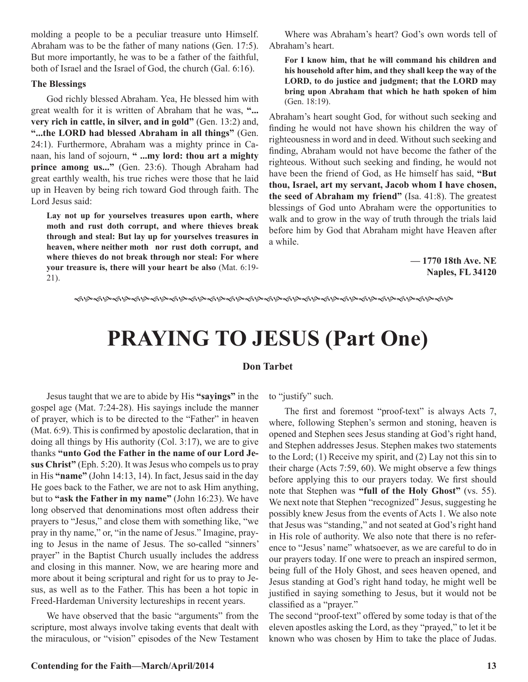molding a people to be a peculiar treasure unto Himself. Abraham was to be the father of many nations (Gen. 17:5). But more importantly, he was to be a father of the faithful, both of Israel and the Israel of God, the church (Gal. 6:16).

#### **The Blessings**

God richly blessed Abraham. Yea, He blessed him with great wealth for it is written of Abraham that he was, **"... very rich in cattle, in silver, and in gold"** (Gen. 13:2) and, **"...the LORD had blessed Abraham in all things"** (Gen. 24:1). Furthermore, Abraham was a mighty prince in Canaan, his land of sojourn, **" ...my lord: thou art a mighty prince among us..."** (Gen. 23:6). Though Abraham had great earthly wealth, his true riches were those that he laid up in Heaven by being rich toward God through faith. The Lord Jesus said:

**Lay not up for yourselves treasures upon earth, where moth and rust doth corrupt, and where thieves break through and steal: But lay up for yourselves treasures in heaven, where neither moth nor rust doth corrupt, and where thieves do not break through nor steal: For where your treasure is, there will your heart be also** (Mat. 6:19- 21).

Where was Abraham's heart? God's own words tell of Abraham's heart.

**For I know him, that he will command his children and his household after him, and they shall keep the way of the LORD, to do justice and judgment; that the LORD may bring upon Abraham that which he hath spoken of him**  (Gen. 18:19).

Abraham's heart sought God, for without such seeking and finding he would not have shown his children the way of righteousness in word and in deed. Without such seeking and finding, Abraham would not have become the father of the righteous. Without such seeking and finding, he would not have been the friend of God, as He himself has said, **"But thou, Israel, art my servant, Jacob whom I have chosen, the seed of Abraham my friend"** (Isa. 41:8). The greatest blessings of God unto Abraham were the opportunities to walk and to grow in the way of truth through the trials laid before him by God that Abraham might have Heaven after a while.

> **— 1770 18th Ave. NE Naples, FL 34120**

fhfhfhfhfhfhfhfhfhfhfhfhfhfhfhfhfhfhfhfh

## **PRAYING TO JESUS (Part One)**

#### **Don Tarbet**

Jesus taught that we are to abide by His **"sayings"** in the gospel age (Mat. 7:24-28). His sayings include the manner of prayer, which is to be directed to the "Father" in heaven (Mat. 6:9). This is confirmed by apostolic declaration, that in doing all things by His authority (Col. 3:17), we are to give thanks **"unto God the Father in the name of our Lord Jesus Christ"** (Eph. 5:20). It was Jesus who compels us to pray in His **"name"** (John 14:13, 14). In fact, Jesus said in the day He goes back to the Father, we are not to ask Him anything, but to **"ask the Father in my name"** (John 16:23). We have long observed that denominations most often address their prayers to "Jesus," and close them with something like, "we pray in thy name," or, "in the name of Jesus." Imagine, praying to Jesus in the name of Jesus. The so-called "sinners' prayer" in the Baptist Church usually includes the address and closing in this manner. Now, we are hearing more and more about it being scriptural and right for us to pray to Jesus, as well as to the Father. This has been a hot topic in Freed-Hardeman University lectureships in recent years.

We have observed that the basic "arguments" from the scripture, most always involve taking events that dealt with the miraculous, or "vision" episodes of the New Testament to "justify" such.

The first and foremost "proof-text" is always Acts 7, where, following Stephen's sermon and stoning, heaven is opened and Stephen sees Jesus standing at God's right hand, and Stephen addresses Jesus. Stephen makes two statements to the Lord; (1) Receive my spirit, and (2) Lay not this sin to their charge (Acts 7:59, 60). We might observe a few things before applying this to our prayers today. We first should note that Stephen was **"full of the Holy Ghost"** (vs. 55). We next note that Stephen "recognized" Jesus, suggesting he possibly knew Jesus from the events of Acts 1. We also note that Jesus was "standing," and not seated at God's right hand in His role of authority. We also note that there is no reference to "Jesus' name" whatsoever, as we are careful to do in our prayers today. If one were to preach an inspired sermon, being full of the Holy Ghost, and sees heaven opened, and Jesus standing at God's right hand today, he might well be justified in saying something to Jesus, but it would not be classified as a "prayer."

The second "proof-text" offered by some today is that of the eleven apostles asking the Lord, as they "prayed," to let it be known who was chosen by Him to take the place of Judas.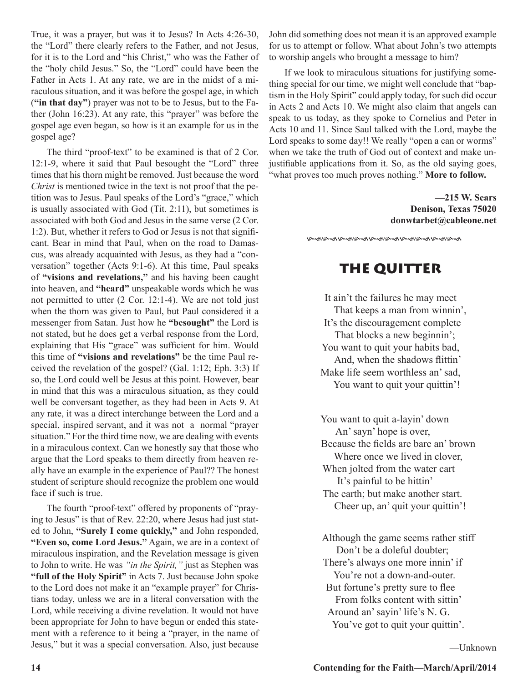True, it was a prayer, but was it to Jesus? In Acts 4:26-30, the "Lord" there clearly refers to the Father, and not Jesus, for it is to the Lord and "his Christ," who was the Father of the "holy child Jesus." So, the "Lord" could have been the Father in Acts 1. At any rate, we are in the midst of a miraculous situation, and it was before the gospel age, in which (**"in that day"**) prayer was not to be to Jesus, but to the Father (John 16:23). At any rate, this "prayer" was before the gospel age even began, so how is it an example for us in the gospel age?

The third "proof-text" to be examined is that of 2 Cor. 12:1-9, where it said that Paul besought the "Lord" three times that his thorn might be removed. Just because the word *Christ* is mentioned twice in the text is not proof that the petition was to Jesus. Paul speaks of the Lord's "grace," which is usually associated with God (Tit. 2:11), but sometimes is associated with both God and Jesus in the same verse (2 Cor. 1:2). But, whether it refers to God or Jesus is not that significant. Bear in mind that Paul, when on the road to Damascus, was already acquainted with Jesus, as they had a "conversation" together (Acts 9:1-6). At this time, Paul speaks of **"visions and revelations,"** and his having been caught into heaven, and **"heard"** unspeakable words which he was not permitted to utter (2 Cor. 12:1-4). We are not told just when the thorn was given to Paul, but Paul considered it a messenger from Satan. Just how he **"besought"** the Lord is not stated, but he does get a verbal response from the Lord, explaining that His "grace" was sufficient for him. Would this time of **"visions and revelations"** be the time Paul received the revelation of the gospel? (Gal. 1:12; Eph. 3:3) If so, the Lord could well be Jesus at this point. However, bear in mind that this was a miraculous situation, as they could well be conversant together, as they had been in Acts 9. At any rate, it was a direct interchange between the Lord and a special, inspired servant, and it was not a normal "prayer situation." For the third time now, we are dealing with events in a miraculous context. Can we honestly say that those who argue that the Lord speaks to them directly from heaven really have an example in the experience of Paul?? The honest student of scripture should recognize the problem one would face if such is true.

The fourth "proof-text" offered by proponents of "praying to Jesus" is that of Rev. 22:20, where Jesus had just stated to John, **"Surely I come quickly,"** and John responded, **"Even so, come Lord Jesus."** Again, we are in a context of miraculous inspiration, and the Revelation message is given to John to write. He was *"in the Spirit,"* just as Stephen was **"full of the Holy Spirit"** in Acts 7. Just because John spoke to the Lord does not make it an "example prayer" for Christians today, unless we are in a literal conversation with the Lord, while receiving a divine revelation. It would not have been appropriate for John to have begun or ended this statement with a reference to it being a "prayer, in the name of Jesus," but it was a special conversation. Also, just because John did something does not mean it is an approved example for us to attempt or follow. What about John's two attempts to worship angels who brought a message to him?

If we look to miraculous situations for justifying something special for our time, we might well conclude that "baptism in the Holy Spirit" could apply today, for such did occur in Acts 2 and Acts 10. We might also claim that angels can speak to us today, as they spoke to Cornelius and Peter in Acts 10 and 11. Since Saul talked with the Lord, maybe the Lord speaks to some day!! We really "open a can or worms" when we take the truth of God out of context and make unjustifiable applications from it. So, as the old saying goes, "what proves too much proves nothing." **More to follow.**

> **—215 W. Sears Denison, Texas 75020 donwtarbet@cableone.net**

### THE QUITTER

ֈ֍֍֍֍֍֍֍֍֍֍֍֍֍֍֍֍֍֍

It ain't the failures he may meet That keeps a man from winnin', It's the discouragement complete That blocks a new beginnin'; You want to quit your habits bad, And, when the shadows flittin' Make life seem worthless an' sad, You want to quit your quittin'!

You want to quit a-layin' down An' sayn' hope is over, Because the fields are bare an' brown Where once we lived in clover, When jolted from the water cart It's painful to be hittin' The earth; but make another start. Cheer up, an' quit your quittin'!

Although the game seems rather stiff Don't be a doleful doubter; There's always one more innin' if You're not a down-and-outer. But fortune's pretty sure to flee From folks content with sittin' Around an' sayin' life's N. G. You've got to quit your quittin'.

—Unknown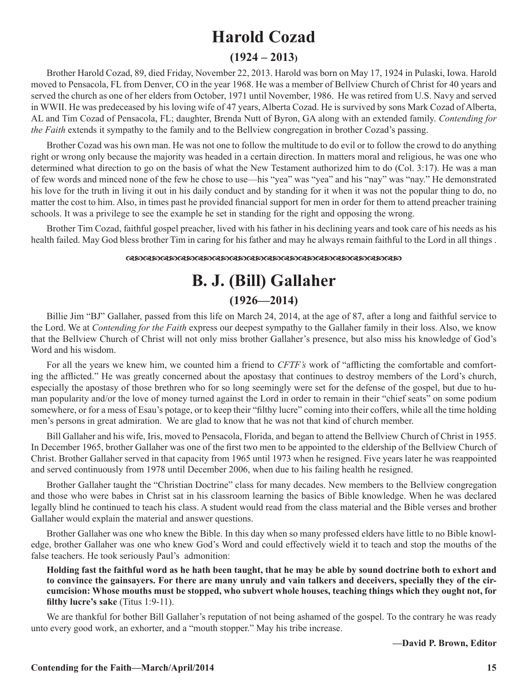## **Harold Cozad**

#### **(1924 – 2013)**

Brother Harold Cozad, 89, died Friday, November 22, 2013. Harold was born on May 17, 1924 in Pulaski, Iowa. Harold moved to Pensacola, FL from Denver, CO in the year 1968. He was a member of Bellview Church of Christ for 40 years and served the church as one of her elders from October, 1971 until November, 1986. He was retired from U.S. Navy and served in WWII. He was predeceased by his loving wife of 47 years, Alberta Cozad. He is survived by sons Mark Cozad of Alberta, AL and Tim Cozad of Pensacola, FL; daughter, Brenda Nutt of Byron, GA along with an extended family. *Contending for the Faith* extends it sympathy to the family and to the Bellview congregation in brother Cozad's passing.

Brother Cozad was his own man. He was not one to follow the multitude to do evil or to follow the crowd to do anything right or wrong only because the majority was headed in a certain direction. In matters moral and religious, he was one who determined what direction to go on the basis of what the New Testament authorized him to do (Col. 3:17). He was a man of few words and minced none of the few he chose to use—his "yea" was "yea" and his "nay" was "nay." He demonstrated his love for the truth in living it out in his daily conduct and by standing for it when it was not the popular thing to do, no matter the cost to him. Also, in times past he provided financial support for men in order for them to attend preacher training schools. It was a privilege to see the example he set in standing for the right and opposing the wrong.

Brother Tim Cozad, faithful gospel preacher, lived with his father in his declining years and took care of his needs as his health failed. May God bless brother Tim in caring for his father and may he always remain faithful to the Lord in all things .

#### dcdcdcdcdcdcdcdcdcdcdcdcdcdcdcdc

### **B. J. (Bill) Gallaher (1926—2014)**

Billie Jim "BJ" Gallaher, passed from this life on March 24, 2014, at the age of 87, after a long and faithful service to the Lord. We at *Contending for the Faith* express our deepest sympathy to the Gallaher family in their loss. Also, we know that the Bellview Church of Christ will not only miss brother Gallaher's presence, but also miss his knowledge of God's Word and his wisdom.

For all the years we knew him, we counted him a friend to *CFTF's* work of "afflicting the comfortable and comforting the afflicted." He was greatly concerned about the apostasy that continues to destroy members of the Lord's church, especially the apostasy of those brethren who for so long seemingly were set for the defense of the gospel, but due to human popularity and/or the love of money turned against the Lord in order to remain in their "chief seats" on some podium somewhere, or for a mess of Esau's potage, or to keep their "filthy lucre" coming into their coffers, while all the time holding men's persons in great admiration. We are glad to know that he was not that kind of church member.

Bill Gallaher and his wife, Iris, moved to Pensacola, Florida, and began to attend the Bellview Church of Christ in 1955. In December 1965, brother Gallaher was one of the first two men to be appointed to the eldership of the Bellview Church of Christ. Brother Gallaher served in that capacity from 1965 until 1973 when he resigned. Five years later he was reappointed and served continuously from 1978 until December 2006, when due to his failing health he resigned.

Brother Gallaher taught the "Christian Doctrine" class for many decades. New members to the Bellview congregation and those who were babes in Christ sat in his classroom learning the basics of Bible knowledge. When he was declared legally blind he continued to teach his class. A student would read from the class material and the Bible verses and brother Gallaher would explain the material and answer questions.

Brother Gallaher was one who knew the Bible. In this day when so many professed elders have little to no Bible knowledge, brother Gallaher was one who knew God's Word and could effectively wield it to teach and stop the mouths of the false teachers. He took seriously Paul's admonition:

**Holding fast the faithful word as he hath been taught, that he may be able by sound doctrine both to exhort and to convince the gainsayers. For there are many unruly and vain talkers and deceivers, specially they of the circumcision: Whose mouths must be stopped, who subvert whole houses, teaching things which they ought not, for filthy lucre's sake** (Titus 1:9-11).

We are thankful for bother Bill Gallaher's reputation of not being ashamed of the gospel. To the contrary he was ready unto every good work, an exhorter, and a "mouth stopper." May his tribe increase.

**—David P. Brown, Editor**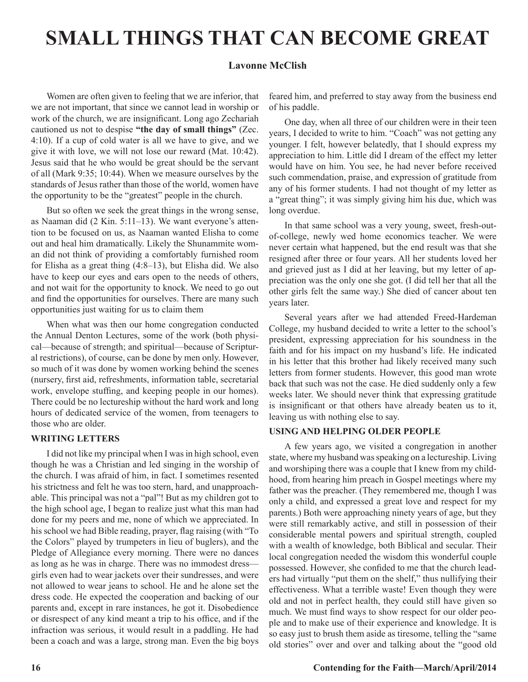## **SMALL THINGS THAT CAN BECOME GREAT**

#### **Lavonne McClish**

Women are often given to feeling that we are inferior, that we are not important, that since we cannot lead in worship or work of the church, we are insignificant. Long ago Zechariah cautioned us not to despise **"the day of small things"** (Zec. 4:10). If a cup of cold water is all we have to give, and we give it with love, we will not lose our reward (Mat. 10:42). Jesus said that he who would be great should be the servant of all (Mark 9:35; 10:44). When we measure ourselves by the standards of Jesus rather than those of the world, women have the opportunity to be the "greatest" people in the church.

But so often we seek the great things in the wrong sense, as Naaman did (2 Kin. 5:11–13). We want everyone's attention to be focused on us, as Naaman wanted Elisha to come out and heal him dramatically. Likely the Shunammite woman did not think of providing a comfortably furnished room for Elisha as a great thing (4:8–13), but Elisha did. We also have to keep our eyes and ears open to the needs of others, and not wait for the opportunity to knock. We need to go out and find the opportunities for ourselves. There are many such opportunities just waiting for us to claim them

When what was then our home congregation conducted the Annual Denton Lectures, some of the work (both physical—because of strength; and spiritual—because of Scriptural restrictions), of course, can be done by men only. However, so much of it was done by women working behind the scenes (nursery, first aid, refreshments, information table, secretarial work, envelope stuffing, and keeping people in our homes). There could be no lectureship without the hard work and long hours of dedicated service of the women, from teenagers to those who are older.

#### **WRITING LETTERS**

I did not like my principal when I was in high school, even though he was a Christian and led singing in the worship of the church. I was afraid of him, in fact. I sometimes resented his strictness and felt he was too stern, hard, and unapproachable. This principal was not a "pal"! But as my children got to the high school age, I began to realize just what this man had done for my peers and me, none of which we appreciated. In his school we had Bible reading, prayer, flag raising (with "To the Colors" played by trumpeters in lieu of buglers), and the Pledge of Allegiance every morning. There were no dances as long as he was in charge. There was no immodest dress girls even had to wear jackets over their sundresses, and were not allowed to wear jeans to school. He and he alone set the dress code. He expected the cooperation and backing of our parents and, except in rare instances, he got it. Disobedience or disrespect of any kind meant a trip to his office, and if the infraction was serious, it would result in a paddling. He had been a coach and was a large, strong man. Even the big boys

feared him, and preferred to stay away from the business end of his paddle.

One day, when all three of our children were in their teen years, I decided to write to him. "Coach" was not getting any younger. I felt, however belatedly, that I should express my appreciation to him. Little did I dream of the effect my letter would have on him. You see, he had never before received such commendation, praise, and expression of gratitude from any of his former students. I had not thought of my letter as a "great thing"; it was simply giving him his due, which was long overdue.

In that same school was a very young, sweet, fresh-outof-college, newly wed home economics teacher. We were never certain what happened, but the end result was that she resigned after three or four years. All her students loved her and grieved just as I did at her leaving, but my letter of appreciation was the only one she got. (I did tell her that all the other girls felt the same way.) She died of cancer about ten years later.

Several years after we had attended Freed-Hardeman College, my husband decided to write a letter to the school's president, expressing appreciation for his soundness in the faith and for his impact on my husband's life. He indicated in his letter that this brother had likely received many such letters from former students. However, this good man wrote back that such was not the case. He died suddenly only a few weeks later. We should never think that expressing gratitude is insignificant or that others have already beaten us to it, leaving us with nothing else to say.

#### **USING AND HELPING OLDER PEOPLE**

A few years ago, we visited a congregation in another state, where my husband was speaking on a lectureship. Living and worshiping there was a couple that I knew from my childhood, from hearing him preach in Gospel meetings where my father was the preacher. (They remembered me, though I was only a child, and expressed a great love and respect for my parents.) Both were approaching ninety years of age, but they were still remarkably active, and still in possession of their considerable mental powers and spiritual strength, coupled with a wealth of knowledge, both Biblical and secular. Their local congregation needed the wisdom this wonderful couple possessed. However, she confided to me that the church leaders had virtually "put them on the shelf," thus nullifying their effectiveness. What a terrible waste! Even though they were old and not in perfect health, they could still have given so much. We must find ways to show respect for our older people and to make use of their experience and knowledge. It is so easy just to brush them aside as tiresome, telling the "same old stories" over and over and talking about the "good old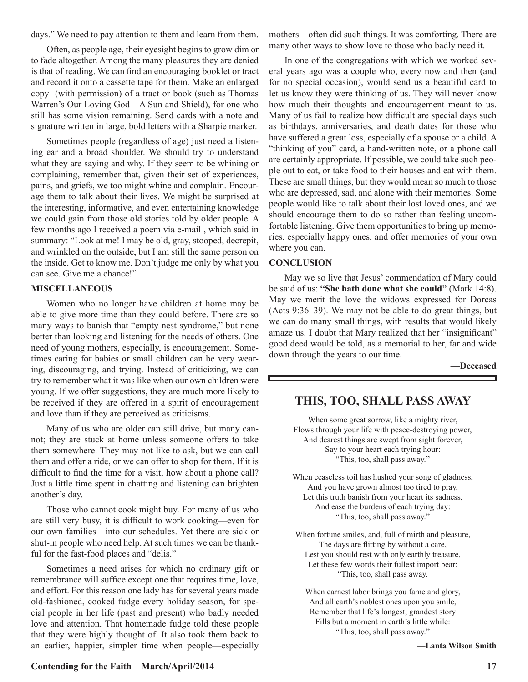days." We need to pay attention to them and learn from them.

Often, as people age, their eyesight begins to grow dim or to fade altogether. Among the many pleasures they are denied is that of reading. We can find an encouraging booklet or tract and record it onto a cassette tape for them. Make an enlarged copy (with permission) of a tract or book (such as Thomas Warren's Our Loving God—A Sun and Shield), for one who still has some vision remaining. Send cards with a note and signature written in large, bold letters with a Sharpie marker.

Sometimes people (regardless of age) just need a listening ear and a broad shoulder. We should try to understand what they are saying and why. If they seem to be whining or complaining, remember that, given their set of experiences, pains, and griefs, we too might whine and complain. Encourage them to talk about their lives. We might be surprised at the interesting, informative, and even entertaining knowledge we could gain from those old stories told by older people. A few months ago I received a poem via e-mail , which said in summary: "Look at me! I may be old, gray, stooped, decrepit, and wrinkled on the outside, but I am still the same person on the inside. Get to know me. Don't judge me only by what you can see. Give me a chance!"

#### **MISCELLANEOUS**

Women who no longer have children at home may be able to give more time than they could before. There are so many ways to banish that "empty nest syndrome," but none better than looking and listening for the needs of others. One need of young mothers, especially, is encouragement. Sometimes caring for babies or small children can be very wearing, discouraging, and trying. Instead of criticizing, we can try to remember what it was like when our own children were young. If we offer suggestions, they are much more likely to be received if they are offered in a spirit of encouragement and love than if they are perceived as criticisms.

Many of us who are older can still drive, but many cannot; they are stuck at home unless someone offers to take them somewhere. They may not like to ask, but we can call them and offer a ride, or we can offer to shop for them. If it is difficult to find the time for a visit, how about a phone call? Just a little time spent in chatting and listening can brighten another's day.

Those who cannot cook might buy. For many of us who are still very busy, it is difficult to work cooking—even for our own families—into our schedules. Yet there are sick or shut-in people who need help. At such times we can be thankful for the fast-food places and "delis."

Sometimes a need arises for which no ordinary gift or remembrance will suffice except one that requires time, love, and effort. For this reason one lady has for several years made old-fashioned, cooked fudge every holiday season, for special people in her life (past and present) who badly needed love and attention. That homemade fudge told these people that they were highly thought of. It also took them back to an earlier, happier, simpler time when people—especially

mothers—often did such things. It was comforting. There are many other ways to show love to those who badly need it.

In one of the congregations with which we worked several years ago was a couple who, every now and then (and for no special occasion), would send us a beautiful card to let us know they were thinking of us. They will never know how much their thoughts and encouragement meant to us. Many of us fail to realize how difficult are special days such as birthdays, anniversaries, and death dates for those who have suffered a great loss, especially of a spouse or a child. A "thinking of you" card, a hand-written note, or a phone call are certainly appropriate. If possible, we could take such people out to eat, or take food to their houses and eat with them. These are small things, but they would mean so much to those who are depressed, sad, and alone with their memories. Some people would like to talk about their lost loved ones, and we should encourage them to do so rather than feeling uncomfortable listening. Give them opportunities to bring up memories, especially happy ones, and offer memories of your own where you can.

#### **CONCLUSION**

May we so live that Jesus' commendation of Mary could be said of us: **"She hath done what she could"** (Mark 14:8). May we merit the love the widows expressed for Dorcas (Acts 9:36–39). We may not be able to do great things, but we can do many small things, with results that would likely amaze us. I doubt that Mary realized that her "insignificant" good deed would be told, as a memorial to her, far and wide down through the years to our time.

**—Deceased**

#### **THIS, TOO, SHALL PASS AWAY**

When some great sorrow, like a mighty river, Flows through your life with peace-destroying power, And dearest things are swept from sight forever, Say to your heart each trying hour: "This, too, shall pass away."

When ceaseless toil has hushed your song of gladness, And you have grown almost too tired to pray, Let this truth banish from your heart its sadness, And ease the burdens of each trying day: "This, too, shall pass away."

When fortune smiles, and, full of mirth and pleasure, The days are flitting by without a care, Lest you should rest with only earthly treasure, Let these few words their fullest import bear: "This, too, shall pass away.

When earnest labor brings you fame and glory, And all earth's noblest ones upon you smile, Remember that life's longest, grandest story Fills but a moment in earth's little while: "This, too, shall pass away."

**—Lanta Wilson Smith**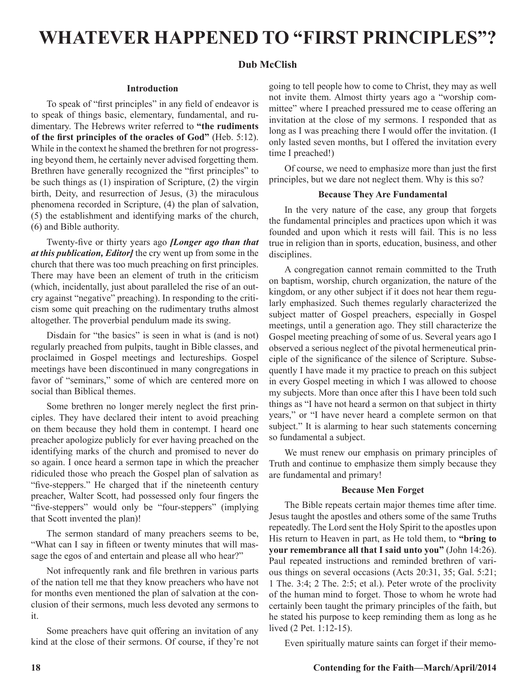## **WHATEVER HAPPENED TO "FIRST PRINCIPLES"?**

#### **Dub McClish**

#### **Introduction**

To speak of "first principles" in any field of endeavor is to speak of things basic, elementary, fundamental, and rudimentary. The Hebrews writer referred to **"the rudiments of the first principles of the oracles of God"** (Heb. 5:12). While in the context he shamed the brethren for not progressing beyond them, he certainly never advised forgetting them. Brethren have generally recognized the "first principles" to be such things as (1) inspiration of Scripture, (2) the virgin birth, Deity, and resurrection of Jesus, (3) the miraculous phenomena recorded in Scripture, (4) the plan of salvation, (5) the establishment and identifying marks of the church, (6) and Bible authority.

Twenty-five or thirty years ago *[Longer ago than that at this publication, Editor]* the cry went up from some in the church that there was too much preaching on first principles. There may have been an element of truth in the criticism (which, incidentally, just about paralleled the rise of an outcry against "negative" preaching). In responding to the criticism some quit preaching on the rudimentary truths almost altogether. The proverbial pendulum made its swing.

Disdain for "the basics" is seen in what is (and is not) regularly preached from pulpits, taught in Bible classes, and proclaimed in Gospel meetings and lectureships. Gospel meetings have been discontinued in many congregations in favor of "seminars," some of which are centered more on social than Biblical themes.

Some brethren no longer merely neglect the first principles. They have declared their intent to avoid preaching on them because they hold them in contempt. I heard one preacher apologize publicly for ever having preached on the identifying marks of the church and promised to never do so again. I once heard a sermon tape in which the preacher ridiculed those who preach the Gospel plan of salvation as "five-steppers." He charged that if the nineteenth century preacher, Walter Scott, had possessed only four fingers the "five-steppers" would only be "four-steppers" (implying that Scott invented the plan)!

The sermon standard of many preachers seems to be, "What can I say in fifteen or twenty minutes that will massage the egos of and entertain and please all who hear?"

Not infrequently rank and file brethren in various parts of the nation tell me that they know preachers who have not for months even mentioned the plan of salvation at the conclusion of their sermons, much less devoted any sermons to it.

Some preachers have quit offering an invitation of any kind at the close of their sermons. Of course, if they're not going to tell people how to come to Christ, they may as well not invite them. Almost thirty years ago a "worship committee" where I preached pressured me to cease offering an invitation at the close of my sermons. I responded that as long as I was preaching there I would offer the invitation. (I only lasted seven months, but I offered the invitation every time I preached!)

Of course, we need to emphasize more than just the first principles, but we dare not neglect them. Why is this so?

#### **Because They Are Fundamental**

In the very nature of the case, any group that forgets the fundamental principles and practices upon which it was founded and upon which it rests will fail. This is no less true in religion than in sports, education, business, and other disciplines.

A congregation cannot remain committed to the Truth on baptism, worship, church organization, the nature of the kingdom, or any other subject if it does not hear them regularly emphasized. Such themes regularly characterized the subject matter of Gospel preachers, especially in Gospel meetings, until a generation ago. They still characterize the Gospel meeting preaching of some of us. Several years ago I observed a serious neglect of the pivotal hermeneutical principle of the significance of the silence of Scripture. Subsequently I have made it my practice to preach on this subject in every Gospel meeting in which I was allowed to choose my subjects. More than once after this I have been told such things as "I have not heard a sermon on that subject in thirty years," or "I have never heard a complete sermon on that subject." It is alarming to hear such statements concerning so fundamental a subject.

We must renew our emphasis on primary principles of Truth and continue to emphasize them simply because they are fundamental and primary!

#### **Because Men Forget**

The Bible repeats certain major themes time after time. Jesus taught the apostles and others some of the same Truths repeatedly. The Lord sent the Holy Spirit to the apostles upon His return to Heaven in part, as He told them, to **"bring to your remembrance all that I said unto you"** (John 14:26). Paul repeated instructions and reminded brethren of various things on several occasions (Acts 20:31, 35; Gal. 5:21; 1 The. 3:4; 2 The. 2:5; et al.). Peter wrote of the proclivity of the human mind to forget. Those to whom he wrote had certainly been taught the primary principles of the faith, but he stated his purpose to keep reminding them as long as he lived (2 Pet. 1:12-15).

Even spiritually mature saints can forget if their memo-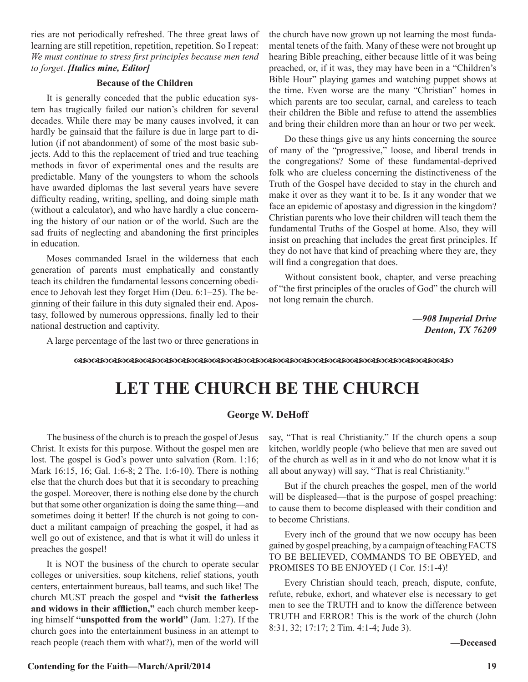ries are not periodically refreshed. The three great laws of learning are still repetition, repetition, repetition. So I repeat: *We must continue to stress first principles because men tend to forget*. *[Italics mine, Editor]*

#### **Because of the Children**

It is generally conceded that the public education system has tragically failed our nation's children for several decades. While there may be many causes involved, it can hardly be gainsaid that the failure is due in large part to dilution (if not abandonment) of some of the most basic subjects. Add to this the replacement of tried and true teaching methods in favor of experimental ones and the results are predictable. Many of the youngsters to whom the schools have awarded diplomas the last several years have severe difficulty reading, writing, spelling, and doing simple math (without a calculator), and who have hardly a clue concerning the history of our nation or of the world. Such are the sad fruits of neglecting and abandoning the first principles in education.

Moses commanded Israel in the wilderness that each generation of parents must emphatically and constantly teach its children the fundamental lessons concerning obedience to Jehovah lest they forget Him (Deu. 6:1–25). The beginning of their failure in this duty signaled their end. Apostasy, followed by numerous oppressions, finally led to their national destruction and captivity.

the church have now grown up not learning the most fundamental tenets of the faith. Many of these were not brought up hearing Bible preaching, either because little of it was being preached, or, if it was, they may have been in a "Children's Bible Hour" playing games and watching puppet shows at the time. Even worse are the many "Christian" homes in which parents are too secular, carnal, and careless to teach their children the Bible and refuse to attend the assemblies and bring their children more than an hour or two per week.

Do these things give us any hints concerning the source of many of the "progressive," loose, and liberal trends in the congregations? Some of these fundamental-deprived folk who are clueless concerning the distinctiveness of the Truth of the Gospel have decided to stay in the church and make it over as they want it to be. Is it any wonder that we face an epidemic of apostasy and digression in the kingdom? Christian parents who love their children will teach them the fundamental Truths of the Gospel at home. Also, they will insist on preaching that includes the great first principles. If they do not have that kind of preaching where they are, they will find a congregation that does.

Without consistent book, chapter, and verse preaching of "the first principles of the oracles of God" the church will not long remain the church.

> *—908 Imperial Drive Denton, TX 76209*

A large percentage of the last two or three generations in

dcdcdcdcdcdcdcdcdcdcdcdcdcdcdcdcdcdcdcdcdcdc

## **LET THE CHURCH BE THE CHURCH**

#### **George W. DeHoff**

The business of the church is to preach the gospel of Jesus Christ. It exists for this purpose. Without the gospel men are lost. The gospel is God's power unto salvation (Rom. 1:16; Mark 16:15, 16; Gal. 1:6-8; 2 The. 1:6-10). There is nothing else that the church does but that it is secondary to preaching the gospel. Moreover, there is nothing else done by the church but that some other organization is doing the same thing—and sometimes doing it better! If the church is not going to conduct a militant campaign of preaching the gospel, it had as well go out of existence, and that is what it will do unless it preaches the gospel!

It is NOT the business of the church to operate secular colleges or universities, soup kitchens, relief stations, youth centers, entertainment bureaus, ball teams, and such like! The church MUST preach the gospel and **"visit the fatherless and widows in their affliction,"** each church member keeping himself **"unspotted from the world"** (Jam. 1:27). If the church goes into the entertainment business in an attempt to reach people (reach them with what?), men of the world will

say, "That is real Christianity." If the church opens a soup kitchen, worldly people (who believe that men are saved out of the church as well as in it and who do not know what it is all about anyway) will say, "That is real Christianity."

But if the church preaches the gospel, men of the world will be displeased—that is the purpose of gospel preaching: to cause them to become displeased with their condition and to become Christians.

Every inch of the ground that we now occupy has been gained by gospel preaching, by a campaign of teaching FACTS TO BE BELIEVED, COMMANDS TO BE OBEYED, and PROMISES TO BE ENJOYED (1 Cor. 15:1-4)!

Every Christian should teach, preach, dispute, confute, refute, rebuke, exhort, and whatever else is necessary to get men to see the TRUTH and to know the difference between TRUTH and ERROR! This is the work of the church (John 8:31, 32; 17:17; 2 Tim. 4:1-4; Jude 3).

**—Deceased**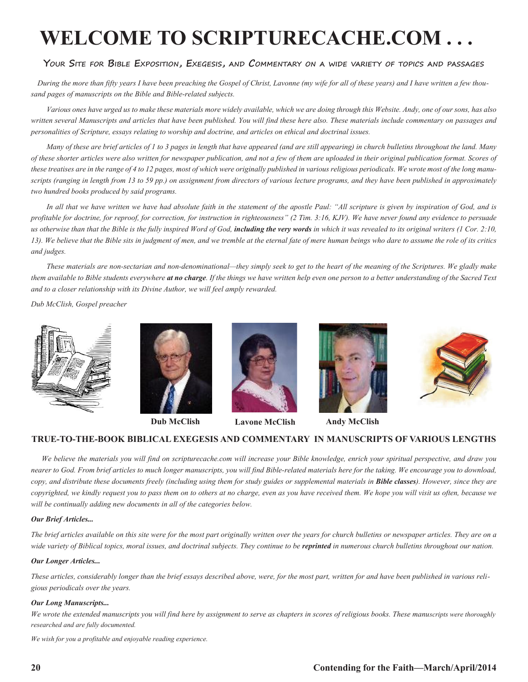## **WELCOME TO SCRIPTURECACHE.COM . . .**

#### **Your Site for Bible Exposition, Exegesis, and Commentary on a wide variety of topics and passages**

 *During the more than fifty years I have been preaching the Gospel of Christ, Lavonne (my wife for all of these years) and I have written a few thousand pages of manuscripts on the Bible and Bible-related subjects.* 

*Various ones have urged us to make these materials more widely available, which we are doing through this Website. Andy, one of our sons, has also written several Manuscripts and articles that have been published. You will find these here also. These materials include commentary on passages and personalities of Scripture, essays relating to worship and doctrine, and articles on ethical and doctrinal issues.* 

*Many of these are brief articles of 1 to 3 pages in length that have appeared (and are still appearing) in church bulletins throughout the land. Many of these shorter articles were also written for newspaper publication, and not a few of them are uploaded in their original publication format. Scores of these treatises are in the range of 4 to 12 pages, most of which were originally published in various religious periodicals. We wrote most of the long manuscripts (ranging in length from 13 to 59 pp.) on assignment from directors of various lecture programs, and they have been published in approximately two hundred books produced by said programs.*

In all that we have written we have had absolute faith in the statement of the apostle Paul: "All scripture is given by inspiration of God, and is *profitable for doctrine, for reproof, for correction, for instruction in righteousness" (2 Tim. 3:16, KJV). We have never found any evidence to persuade*  us otherwise than that the Bible is the fully inspired Word of God, **including the very words** in which it was revealed to its original writers (1 Cor. 2:10, *13). We believe that the Bible sits in judgment of men, and we tremble at the eternal fate of mere human beings who dare to assume the role of its critics and judges.*

*These materials are non-sectarian and non-denominational—they simply seek to get to the heart of the meaning of the Scriptures. We gladly make them available to Bible students everywhere at no charge. If the things we have written help even one person to a better understanding of the Sacred Text and to a closer relationship with its Divine Author, we will feel amply rewarded.*

*Dub McClish, Gospel preacher*









**Dub McClish Lavone McClish Andy McClish**





#### **TRUE-TO-THE-BOOK BIBLICAL EXEGESIS AND COMMENTARY IN MANUSCRIPTS OF VARIOUS LENGTHS**

 *We believe the materials you will find on scripturecache.com will increase your Bible knowledge, enrich your spiritual perspective, and draw you nearer to God. From brief articles to much longer manuscripts, you will find Bible-related materials here for the taking. We encourage you to download, copy, and distribute these documents freely (including using them for study guides or supplemental materials in Bible classes). However, since they are copyrighted, we kindly request you to pass them on to others at no charge, even as you have received them. We hope you will visit us often, because we will be continually adding new documents in all of the categories below.* 

#### *Our Brief Articles...*

*The brief articles available on this site were for the most part originally written over the years for church bulletins or newspaper articles. They are on a*  wide variety of Biblical topics, moral issues, and doctrinal subjects. They continue to be **reprinted** in numerous church bulletins throughout our nation.

#### *Our Longer Articles...*

*These articles, considerably longer than the brief essays described above, were, for the most part, written for and have been published in various religious periodicals over the years.*

#### *Our Long Manuscripts...*

*We wrote the extended manuscripts you will find here by assignment to serve as chapters in scores of religious books. These manuscripts were thoroughly researched and are fully documented.*

*We wish for you a profitable and enjoyable reading experience.*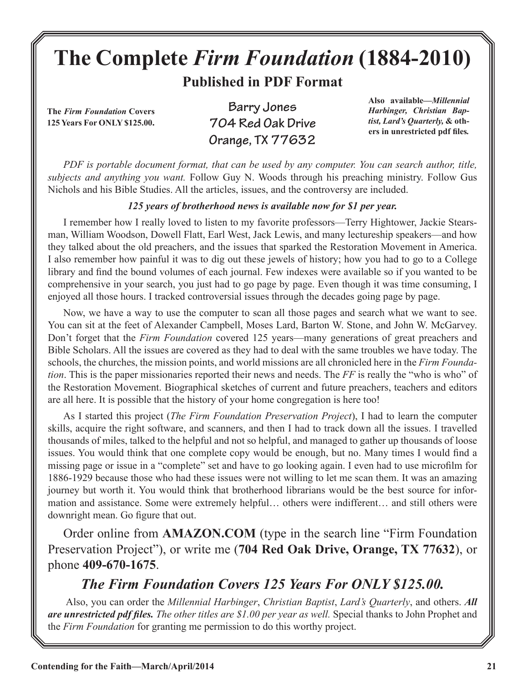# **The Complete** *Firm Foundation* **(1884-2010)**

**Published in PDF Format**

**The** *Firm Foundation* **Covers 125 Years For ONLY \$125.00.**

**Barry Jones 704 Red Oak Drive Orange, TX 77632**

**Also available***—Millennial Harbinger, Christian Baptist, Lard's Quarterly,* **& others in unrestricted pdf files***.*

*PDF is portable document format, that can be used by any computer. You can search author, title, subjects and anything you want.* Follow Guy N. Woods through his preaching ministry. Follow Gus Nichols and his Bible Studies. All the articles, issues, and the controversy are included.

#### *125 years of brotherhood news is available now for \$1 per year.*

I remember how I really loved to listen to my favorite professors—Terry Hightower, Jackie Stearsman, William Woodson, Dowell Flatt, Earl West, Jack Lewis, and many lectureship speakers—and how they talked about the old preachers, and the issues that sparked the Restoration Movement in America. I also remember how painful it was to dig out these jewels of history; how you had to go to a College library and find the bound volumes of each journal. Few indexes were available so if you wanted to be comprehensive in your search, you just had to go page by page. Even though it was time consuming, I enjoyed all those hours. I tracked controversial issues through the decades going page by page.

Now, we have a way to use the computer to scan all those pages and search what we want to see. You can sit at the feet of Alexander Campbell, Moses Lard, Barton W. Stone, and John W. McGarvey. Don't forget that the *Firm Foundation* covered 125 years—many generations of great preachers and Bible Scholars. All the issues are covered as they had to deal with the same troubles we have today. The schools, the churches, the mission points, and world missions are all chronicled here in the *Firm Foundation*. This is the paper missionaries reported their news and needs. The *FF* is really the "who is who" of the Restoration Movement. Biographical sketches of current and future preachers, teachers and editors are all here. It is possible that the history of your home congregation is here too!

As I started this project (*The Firm Foundation Preservation Project*), I had to learn the computer skills, acquire the right software, and scanners, and then I had to track down all the issues. I travelled thousands of miles, talked to the helpful and not so helpful, and managed to gather up thousands of loose issues. You would think that one complete copy would be enough, but no. Many times I would find a missing page or issue in a "complete" set and have to go looking again. I even had to use microfilm for 1886-1929 because those who had these issues were not willing to let me scan them. It was an amazing journey but worth it. You would think that brotherhood librarians would be the best source for information and assistance. Some were extremely helpful… others were indifferent… and still others were downright mean. Go figure that out.

Order online from **AMAZON.COM** (type in the search line "Firm Foundation Preservation Project"), or write me (**704 Red Oak Drive, Orange, TX 77632**), or phone **409-670-1675**.

### *The Firm Foundation Covers 125 Years For ONLY \$125.00.*

 Also, you can order the *Millennial Harbinger*, *Christian Baptist*, *Lard's Quarterly*, and others. *All are unrestricted pdf files. The other titles are \$1.00 per year as well.* Special thanks to John Prophet and the *Firm Foundation* for granting me permission to do this worthy project.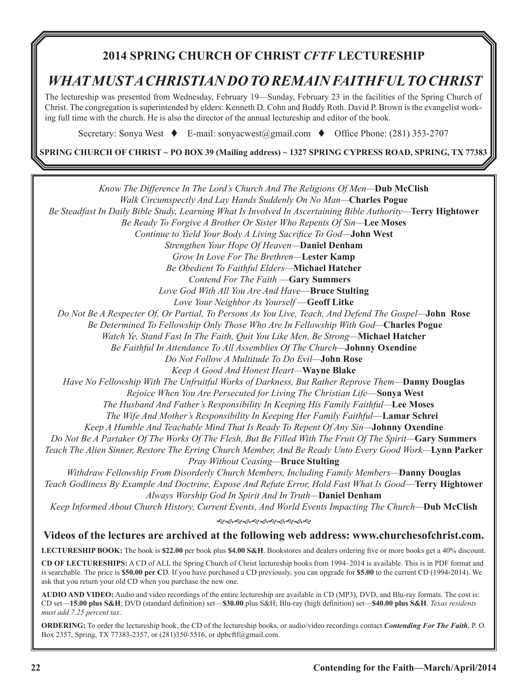### **2014 SPRING CHURCH OF CHRIST** *CFTF* **LECTURESHIP**

### *WHAT MUST A CHRISTIAN DO TO REMAIN FAITHFUL TO CHRIST*

The lectureship was presented from Wednesday, February 19—Sunday, February 23 in the facilities of the Spring Church of Christ. The congregation is superintended by elders: Kenneth D. Cohn and Buddy Roth. David P. Brown is the evangelist working full time with the church. He is also the director of the annual lectureship and editor of the book.

Secretary: Sonya West  $\bullet$  E-mail: sonyacwest@gmail.com  $\bullet$  Office Phone: (281) 353-2707

**SPRING CHURCH OF CHRIST ~ PO BOX 39 (Mailing address) ~ 1327 SPRING CYPRESS ROAD, SPRING, TX 77383**

*Know The Difference In The Lord's Church And The Religions Of Men—***Dub McClish** *Walk Circumspectly And Lay Hands Suddenly On No Man—***Charles Pogue** *Be Steadfast In Daily Bible Study, Learning What Is Involved In Ascertaining Bible Authority—***Terry Hightower**  *Be Ready To Forgive A Brother Or Sister Who Repents Of Sin—***Lee Moses** *Continue to Yield Your Body A Living Sacrifice To God—***John West** *Strengthen Your Hope Of Heaven—***Daniel Denham** *Grow In Love For The Brethren—***Lester Kamp** *Be Obedient To Faithful Elders—***Michael Hatcher** *Contend For The Faith* —**Gary Summers** *Love God With All You Are And Have*—**Bruce Stulting** *Love Your Neighbor As Yourself* —**Geoff Litke** *Do Not Be A Respecter Of, Or Partial, To Persons As You Live, Teach, And Defend The Gospel—***John Rose**  *Be Determined To Fellowship Only Those Who Are In Fellowship With God—***Charles Pogue** *Watch Ye, Stand Fast In The Faith, Quit You Like Men, Be Strong—***Michael Hatcher** *Be Faithful In Attendance To All Assemblies Of The Church—***Johnny Oxendine**  *Do Not Follow A Multitude To Do Evil—***John Rose** *Keep A Good And Honest Heart—***Wayne Blake** *Have No Fellowship With The Unfruitful Works of Darkness, But Rather Reprove Them—***Danny Douglas** *Rejoice When You Are Persecuted for Living The Christian Life*—**Sonya West** *The Husband And Father's Responsibility In Keeping His Family Faithful—***Lee Moses** *The Wife And Mother's Responsibility In Keeping Her Family Faithful*—**Lamar Schrei** *Keep A Humble And Teachable Mind That Is Ready To Repent Of Any Sin—***Johnny Oxendine** *Do Not Be A Partaker Of The Works Of The Flesh, But Be Filled With The Fruit Of The Spirit—***Gary Summers**  *Teach The Alien Sinner, Restore The Erring Church Member, And Be Ready Unto Every Good Work—***Lynn Parker** *Pray Without Ceasing—***Bruce Stulting** *Withdraw Fellowship From Disorderly Church Members, Including Family Members—***Danny Douglas**  *Teach Godliness By Example And Doctrine, Expose And Refute Error, Hold Fast What Is Good*—**Terry Hightower** *Always Worship God In Spirit And In Truth—***Daniel Denham** *Keep Informed About Church History, Current Events, And World Events Impacting The Church—***Dub McClish** <u>କଟକେଟେ କରେ କରେ କ</u> **Videos of the lectures are archived at the following web address: www.churchesofchrist.com. LECTURESHIP BOOK:** The book is **\$22.00** per book plus **\$4.00 S&H**. Bookstores and dealers ordering five or more books get a 40% discount.

**CD OF LECTURESHIPS:** A CD of ALL the Spring Church of Christ lectureship books from 1994–2014 is available. This is in PDF format and is searchable. The price is **\$50.00 per C**D. If you have purchased a CD previously, you can upgrade for **\$5.00** to the current CD (1994-2014). We ask that you return your old CD when you purchase the new one.

**AUDIO AND VIDEO:** Audio and video recordings of the entire lectureship are available in CD (MP3), DVD, and Blu-ray formats. The cost is: CD set—**15.00 plus S&H**; DVD (standard definition) set—**\$30.00** plus S&H; Blu-ray (high definition) set—**\$40.00 plus S&H**. *Texas residents must add 7.25 percent tax*.

**ORDERING:** To order the lectureship book, the CD of the lectureship books, or audio/video recordings contact *Contending For The Faith*, P. O. Box 2357, Spring, TX 77383-2357, or (281)350-5516, or dpbcftf@gmail.com.

ī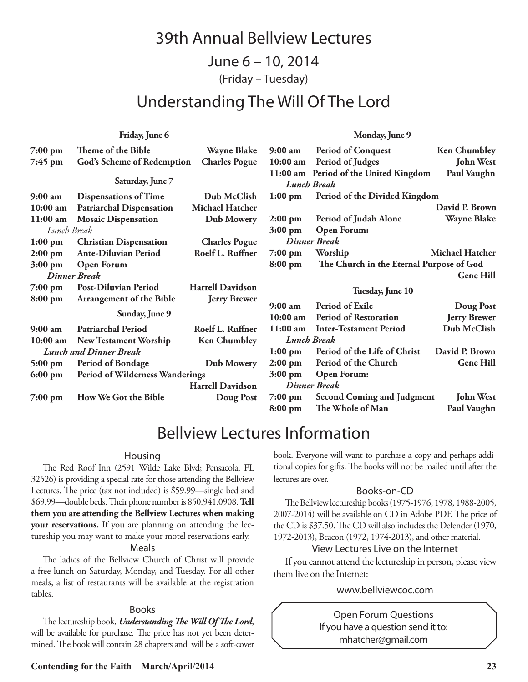### 39th Annual Bellview Lectures

June 6 – 10, 2014

(Friday – Tuesday)

### Understanding The Will Of The Lord

#### **Friday, June 6**

| 7:00 pm                       | Theme of the Bible              | <b>Wayne Blake</b>      | $9:00 \text{ am}$                                   | <b>Period of Conquest</b>                                   | <b>Ken Chumbley</b>                     |
|-------------------------------|---------------------------------|-------------------------|-----------------------------------------------------|-------------------------------------------------------------|-----------------------------------------|
| 7:45 pm                       | God's Scheme of Redemption      | <b>Charles Pogue</b>    | $10:00$ am                                          | Period of Judges                                            | <b>John West</b>                        |
| Saturday, June 7              |                                 |                         |                                                     | 11:00 am Period of the United Kingdom<br><b>Lunch Break</b> | Paul Vaughn                             |
| 9:00 am                       | <b>Dispensations of Time</b>    | Dub McClish             | Period of the Divided Kingdom<br>$1:00 \text{ pm}$  |                                                             |                                         |
| $10:00$ am                    | <b>Patriarchal Dispensation</b> | <b>Michael Hatcher</b>  |                                                     |                                                             | David P. Brown                          |
| $11:00$ am                    | <b>Mosaic Dispensation</b>      | Dub Mowery              | $2:00$ pm                                           | Period of Judah Alone                                       | <b>Wayne Blake</b>                      |
| Lunch Break                   |                                 |                         | $3:00$ pm                                           | Open Forum:                                                 |                                         |
| $1:00$ pm                     | <b>Christian Dispensation</b>   | <b>Charles Pogue</b>    | <b>Dinner Break</b>                                 |                                                             |                                         |
| $2:00$ pm                     | <b>Ante-Diluvian Period</b>     | Roelf L. Ruffner        | 7:00 pm                                             | Worship                                                     | <b>Michael Hatcher</b>                  |
| $3:00$ pm                     | <b>Open Forum</b>               |                         | The Church in the Eternal Purpose of God<br>8:00 pm |                                                             |                                         |
|                               | <b>Dinner Break</b>             |                         |                                                     |                                                             | <b>Gene Hill</b>                        |
| 7:00 pm                       | <b>Post-Diluvian Period</b>     | <b>Harrell Davidson</b> | Tuesday, June 10                                    |                                                             |                                         |
| 8:00 pm                       | <b>Arrangement of the Bible</b> | <b>Jerry Brewer</b>     |                                                     |                                                             |                                         |
| Sunday, June 9                |                                 |                         | 9:00 a m<br>10:00 am                                | <b>Period of Exile</b><br><b>Period of Restoration</b>      | <b>Doug Post</b><br><b>Jerry Brewer</b> |
| 9:00 am                       | <b>Patriarchal Period</b>       | Roelf L. Ruffner        | $11:00$ am                                          | <b>Inter-Testament Period</b>                               | Dub McClish                             |
| $10:00$ am                    | <b>New Testament Worship</b>    | <b>Ken Chumbley</b>     | <b>Lunch Break</b>                                  |                                                             |                                         |
| <b>Lunch and Dinner Break</b> |                                 | $1:00$ pm               | Period of the Life of Christ                        | David P. Brown                                              |                                         |
| 5:00 pm                       | <b>Period of Bondage</b>        | Dub Mowery              | $2:00$ pm                                           | Period of the Church                                        | <b>Gene Hill</b>                        |
| 6:00 pm                       | Period of Wilderness Wanderings |                         | $3:00$ pm                                           | Open Forum:                                                 |                                         |
| <b>Harrell Davidson</b>       |                                 |                         | <b>Dinner Break</b>                                 |                                                             |                                         |
|                               | How We Got the Bible            |                         | $7:00$ pm                                           | <b>Second Coming and Judgment</b>                           | <b>John West</b>                        |
| 7:00 pm                       |                                 | Doug Post               | $8:00$ pm                                           | The Whole of Man                                            | Paul Vaughn                             |
|                               |                                 |                         |                                                     |                                                             |                                         |

## Bellview Lectures Information

#### Housing

The Red Roof Inn (2591 Wilde Lake Blvd; Pensacola, FL 32526) is providing a special rate for those attending the Bellview Lectures. The price (tax not included) is \$59.99—single bed and \$69.99—double beds. Their phone number is 850.941.0908. **Tell them you are attending the Bellview Lectures when making your reservations.** If you are planning on attending the lectureship you may want to make your motel reservations early.

#### Meals

The ladies of the Bellview Church of Christ will provide a free lunch on Saturday, Monday, and Tuesday. For all other meals, a list of restaurants will be available at the registration tables.

#### Books

The lectureship book, *Understanding The Will Of The Lord*, will be available for purchase. The price has not yet been determined. The book will contain 28 chapters and will be a soft-cover

book. Everyone will want to purchase a copy and perhaps additional copies for gifts. The books will not be mailed until after the lectures are over.

#### Books-on-CD

The Bellview lectureship books (1975-1976, 1978, 1988-2005, 2007-2014) will be available on CD in Adobe PDF. The price of the CD is \$37.50. The CD will also includes the Defender (1970, 1972-2013), Beacon (1972, 1974-2013), and other material.

#### View Lectures Live on the Internet

If you cannot attend the lectureship in person, please view them live on the Internet:

#### www.bellviewcoc.com

Open Forum Questions If you have a question send it to: mhatcher@gmail.com

#### **Monday, June 9**